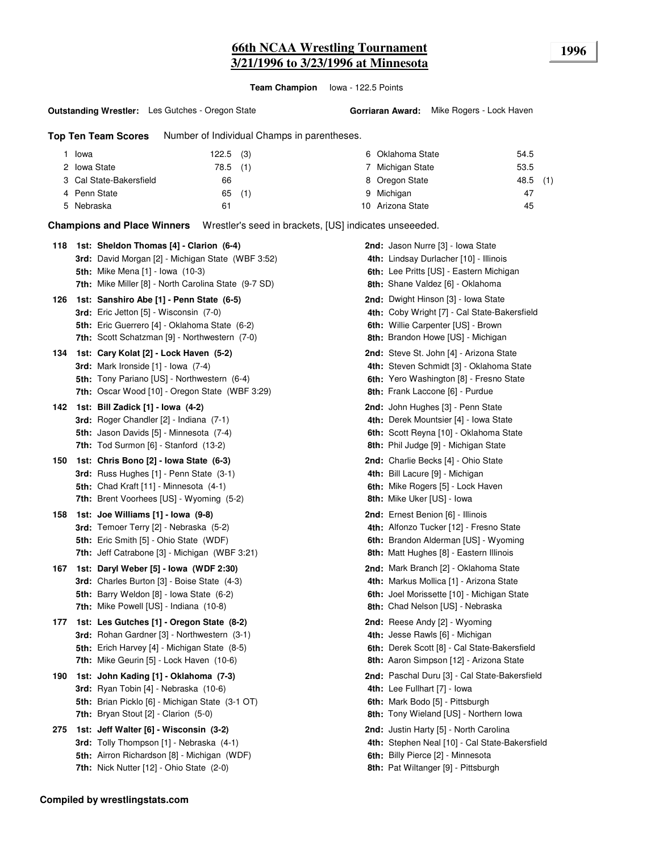## **66th NCAA Wrestling Tournament 1996 3/21/1996 to 3/23/1996 at Minnesota**

**Team Champion** Iowa - 122.5 Points

#### **Outstanding Wrestler:** Les Gutches - Oregon State

**Top Ten Team Scores** Number of Individual Champs in parentheses.

| Iowa                    | $122.5$ (3) |          | 6 Oklahoma State | 54.5       |  |
|-------------------------|-------------|----------|------------------|------------|--|
| 2 Iowa State            | 78.5 (1)    |          | Michigan State   | 53.5       |  |
| 3 Cal State-Bakersfield | 66          |          | 8 Oregon State   | $48.5$ (1) |  |
| 4 Penn State            |             | $65$ (1) | 9 Michigan       | 47         |  |
| 5 Nebraska              | 61          |          | 10 Arizona State | 45         |  |

**Champions and Place Winners** Wrestler's seed in brackets, [US] indicates unseeeded.

| 118 | 1st: Sheldon Thomas [4] - Clarion (6-4)<br><b>3rd:</b> David Morgan [2] - Michigan State (WBF 3:52)<br><b>5th:</b> Mike Mena [1] - Iowa (10-3)<br>7th: Mike Miller [8] - North Carolina State (9-7 SD) | <b>2nd:</b> Jason Nurre [3] - Iowa State<br>4th: Lindsay Durlacher [10] - Illinois<br>6th: Lee Pritts [US] - Eastern Michigan<br>8th: Shane Valdez [6] - Oklahoma           |
|-----|--------------------------------------------------------------------------------------------------------------------------------------------------------------------------------------------------------|-----------------------------------------------------------------------------------------------------------------------------------------------------------------------------|
| 126 | 1st: Sanshiro Abe [1] - Penn State (6-5)<br><b>3rd:</b> Eric Jetton [5] - Wisconsin (7-0)<br>5th: Eric Guerrero [4] - Oklahoma State (6-2)<br><b>7th:</b> Scott Schatzman [9] - Northwestern (7-0)     | <b>2nd:</b> Dwight Hinson [3] - Iowa State<br>4th: Coby Wright [7] - Cal State-Bakersfield<br>6th: Willie Carpenter [US] - Brown<br>8th: Brandon Howe [US] - Michigan       |
| 134 | 1st: Cary Kolat [2] - Lock Haven (5-2)<br>3rd: Mark Ironside $[1]$ - Iowa $(7-4)$<br>5th: Tony Pariano [US] - Northwestern (6-4)<br>7th: Oscar Wood [10] - Oregon State (WBF 3:29)                     | <b>2nd:</b> Steve St. John [4] - Arizona State<br>4th: Steven Schmidt [3] - Oklahoma State<br>6th: Yero Washington [8] - Fresno State<br>8th: Frank Laccone [6] - Purdue    |
| 142 | 1st: Bill Zadick [1] - Iowa (4-2)<br>3rd: Roger Chandler [2] - Indiana (7-1)<br><b>5th:</b> Jason Davids [5] - Minnesota (7-4)<br>7th: Tod Surmon [6] - Stanford (13-2)                                | 2nd: John Hughes [3] - Penn State<br>4th: Derek Mountsier [4] - Iowa State<br>6th: Scott Reyna [10] - Oklahoma State<br>8th: Phil Judge [9] - Michigan State                |
| 150 | 1st: Chris Bono [2] - Iowa State (6-3)<br>3rd: Russ Hughes [1] - Penn State (3-1)<br><b>5th:</b> Chad Kraft [11] - Minnesota (4-1)<br><b>7th:</b> Brent Voorhees [US] - Wyoming (5-2)                  | <b>2nd:</b> Charlie Becks [4] - Ohio State<br>4th: Bill Lacure [9] - Michigan<br><b>6th:</b> Mike Rogers [5] - Lock Haven<br>8th: Mike Uker [US] - Iowa                     |
| 158 | 1st: Joe Williams [1] - Iowa (9-8)<br>3rd: Temoer Terry [2] - Nebraska (5-2)<br><b>5th:</b> Eric Smith [5] - Ohio State (WDF)<br>7th: Jeff Catrabone [3] - Michigan (WBF 3:21)                         | 2nd: Ernest Benion [6] - Illinois<br>4th: Alfonzo Tucker [12] - Fresno State<br>6th: Brandon Alderman [US] - Wyoming<br>8th: Matt Hughes [8] - Eastern Illinois             |
| 167 | 1st: Daryl Weber [5] - Iowa (WDF 2:30)<br>3rd: Charles Burton [3] - Boise State (4-3)<br>5th: Barry Weldon [8] - Iowa State (6-2)<br>7th: Mike Powell [US] - Indiana (10-8)                            | 2nd: Mark Branch [2] - Oklahoma State<br>4th: Markus Mollica [1] - Arizona State<br>6th: Joel Morissette [10] - Michigan State<br>8th: Chad Nelson [US] - Nebraska          |
| 177 | 1st: Les Gutches [1] - Oregon State (8-2)<br><b>3rd:</b> Rohan Gardner [3] - Northwestern (3-1)<br><b>5th:</b> Erich Harvey [4] - Michigan State (8-5)<br>7th: Mike Geurin [5] - Lock Haven (10-6)     | 2nd: Reese Andy [2] - Wyoming<br>4th: Jesse Rawls [6] - Michigan<br>6th: Derek Scott [8] - Cal State-Bakersfield<br>8th: Aaron Simpson [12] - Arizona State                 |
| 190 | 1st: John Kading [1] - Oklahoma (7-3)<br><b>3rd:</b> Ryan Tobin [4] - Nebraska (10-6)<br>5th: Brian Picklo [6] - Michigan State (3-1 OT)<br><b>7th:</b> Bryan Stout $[2]$ - Clarion $(5-0)$            | 2nd: Paschal Duru [3] - Cal State-Bakersfield<br>4th: Lee Fullhart [7] - Iowa<br>6th: Mark Bodo [5] - Pittsburgh<br>8th: Tony Wieland [US] - Northern Iowa                  |
| 275 | 1st: Jeff Walter [6] - Wisconsin (3-2)<br>3rd: Tolly Thompson [1] - Nebraska (4-1)<br><b>5th:</b> Airron Richardson [8] - Michigan (WDF)<br><b>7th:</b> Nick Nutter $[12]$ - Ohio State $(2-0)$        | <b>2nd:</b> Justin Harty [5] - North Carolina<br>4th: Stephen Neal [10] - Cal State-Bakersfield<br>6th: Billy Pierce [2] - Minnesota<br>8th: Pat Wiltanger [9] - Pittsburgh |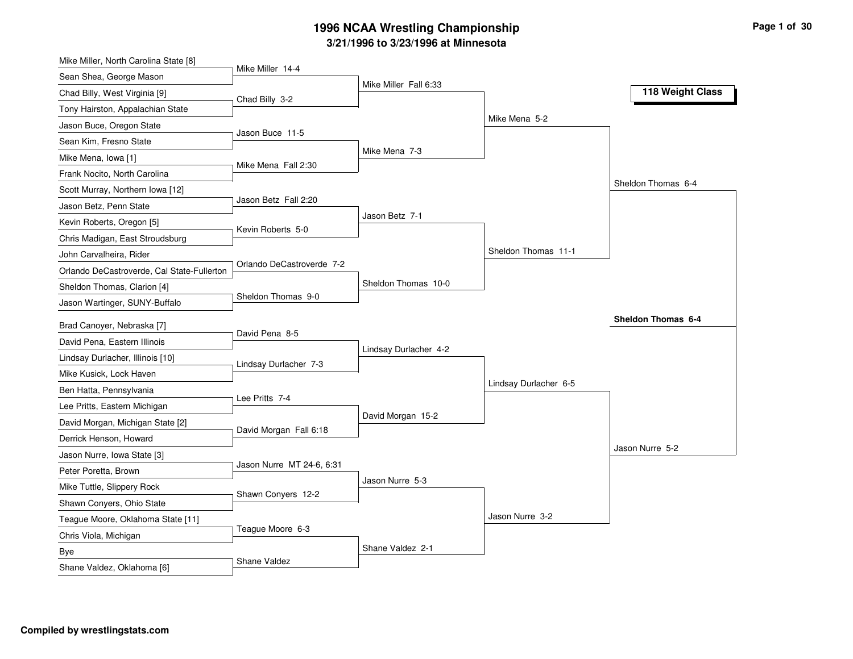| Mike Miller, North Carolina State [8]      | Mike Miller 14-4          |                       |                       |                    |
|--------------------------------------------|---------------------------|-----------------------|-----------------------|--------------------|
| Sean Shea, George Mason                    |                           | Mike Miller Fall 6:33 |                       |                    |
| Chad Billy, West Virginia [9]              | Chad Billy 3-2            |                       |                       | 118 Weight Class   |
| Tony Hairston, Appalachian State           |                           |                       |                       |                    |
| Jason Buce, Oregon State                   |                           |                       | Mike Mena 5-2         |                    |
| Sean Kim, Fresno State                     | Jason Buce 11-5           |                       |                       |                    |
| Mike Mena, Iowa [1]                        | Mike Mena Fall 2:30       | Mike Mena 7-3         |                       |                    |
| Frank Nocito, North Carolina               |                           |                       |                       |                    |
| Scott Murray, Northern Iowa [12]           |                           |                       |                       | Sheldon Thomas 6-4 |
| Jason Betz, Penn State                     | Jason Betz Fall 2:20      |                       |                       |                    |
| Kevin Roberts, Oregon [5]                  | Kevin Roberts 5-0         | Jason Betz 7-1        |                       |                    |
| Chris Madigan, East Stroudsburg            |                           |                       |                       |                    |
| John Carvalheira, Rider                    |                           |                       | Sheldon Thomas 11-1   |                    |
| Orlando DeCastroverde, Cal State-Fullerton | Orlando DeCastroverde 7-2 |                       |                       |                    |
| Sheldon Thomas, Clarion [4]                |                           | Sheldon Thomas 10-0   |                       |                    |
| Jason Wartinger, SUNY-Buffalo              | Sheldon Thomas 9-0        |                       |                       |                    |
| Brad Canoyer, Nebraska [7]                 |                           |                       |                       | Sheldon Thomas 6-4 |
| David Pena, Eastern Illinois               | David Pena 8-5            |                       |                       |                    |
| Lindsay Durlacher, Illinois [10]           |                           | Lindsay Durlacher 4-2 |                       |                    |
| Mike Kusick, Lock Haven                    | Lindsay Durlacher 7-3     |                       |                       |                    |
| Ben Hatta, Pennsylvania                    |                           |                       | Lindsay Durlacher 6-5 |                    |
| Lee Pritts, Eastern Michigan               | Lee Pritts 7-4            |                       |                       |                    |
| David Morgan, Michigan State [2]           |                           | David Morgan 15-2     |                       |                    |
| Derrick Henson, Howard                     | David Morgan Fall 6:18    |                       |                       |                    |
| Jason Nurre, Iowa State [3]                |                           |                       |                       | Jason Nurre 5-2    |
| Peter Poretta, Brown                       | Jason Nurre MT 24-6, 6:31 |                       |                       |                    |
| Mike Tuttle, Slippery Rock                 |                           | Jason Nurre 5-3       |                       |                    |
| Shawn Conyers, Ohio State                  | Shawn Conyers 12-2        |                       |                       |                    |
| Teague Moore, Oklahoma State [11]          |                           |                       | Jason Nurre 3-2       |                    |
| Chris Viola, Michigan                      | Teague Moore 6-3          |                       |                       |                    |
| Bye                                        |                           | Shane Valdez 2-1      |                       |                    |
| Shane Valdez, Oklahoma [6]                 | Shane Valdez              |                       |                       |                    |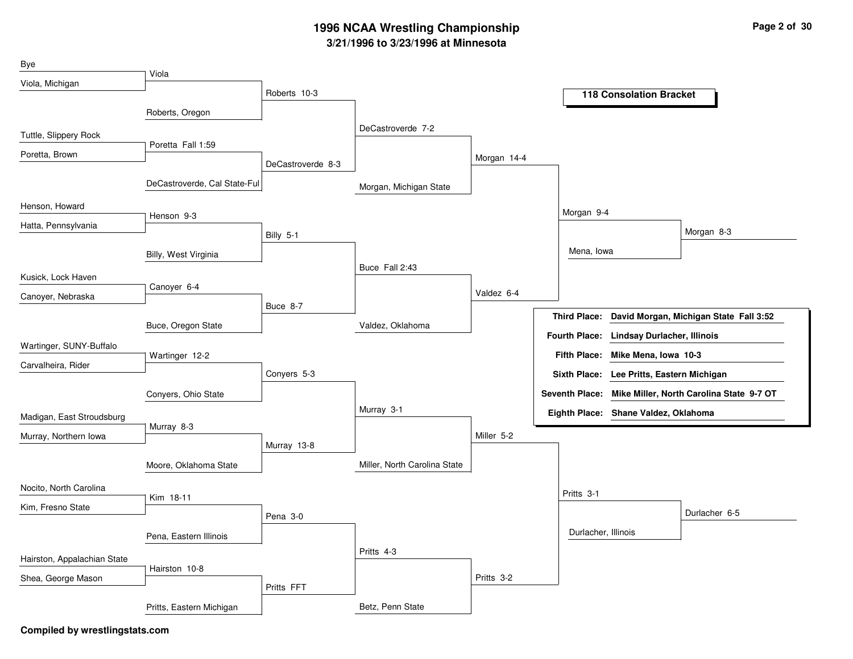| Bye                         |                              |                   |                              |             |                     |                                           |                                                         |
|-----------------------------|------------------------------|-------------------|------------------------------|-------------|---------------------|-------------------------------------------|---------------------------------------------------------|
| Viola, Michigan             | Viola                        |                   |                              |             |                     |                                           |                                                         |
|                             |                              | Roberts 10-3      |                              |             |                     | <b>118 Consolation Bracket</b>            |                                                         |
|                             | Roberts, Oregon              |                   |                              |             |                     |                                           |                                                         |
| Tuttle, Slippery Rock       |                              |                   | DeCastroverde 7-2            |             |                     |                                           |                                                         |
| Poretta, Brown              | Poretta Fall 1:59            |                   |                              | Morgan 14-4 |                     |                                           |                                                         |
|                             |                              | DeCastroverde 8-3 |                              |             |                     |                                           |                                                         |
|                             | DeCastroverde, Cal State-Ful |                   | Morgan, Michigan State       |             |                     |                                           |                                                         |
| Henson, Howard              | Henson 9-3                   |                   |                              |             | Morgan 9-4          |                                           |                                                         |
| Hatta, Pennsylvania         |                              |                   |                              |             |                     |                                           | Morgan 8-3                                              |
|                             |                              | Billy 5-1         |                              |             |                     |                                           |                                                         |
|                             | Billy, West Virginia         |                   | Buce Fall 2:43               |             | Mena, lowa          |                                           |                                                         |
| Kusick, Lock Haven          |                              |                   |                              |             |                     |                                           |                                                         |
| Canoyer, Nebraska           | Canoyer 6-4                  |                   |                              | Valdez 6-4  |                     |                                           |                                                         |
|                             |                              | Buce 8-7          |                              |             |                     |                                           | Third Place: David Morgan, Michigan State Fall 3:52     |
|                             | Buce, Oregon State           |                   | Valdez, Oklahoma             |             |                     | Fourth Place: Lindsay Durlacher, Illinois |                                                         |
| Wartinger, SUNY-Buffalo     |                              |                   |                              |             |                     |                                           |                                                         |
| Carvalheira, Rider          | Wartinger 12-2               |                   |                              |             |                     | Fifth Place: Mike Mena, Iowa 10-3         |                                                         |
|                             |                              | Conyers 5-3       |                              |             |                     | Sixth Place: Lee Pritts, Eastern Michigan |                                                         |
|                             | Conyers, Ohio State          |                   |                              |             |                     |                                           | Seventh Place: Mike Miller, North Carolina State 9-7 OT |
| Madigan, East Stroudsburg   |                              |                   | Murray 3-1                   |             |                     | Eighth Place: Shane Valdez, Oklahoma      |                                                         |
| Murray, Northern Iowa       | Murray 8-3                   |                   |                              | Miller 5-2  |                     |                                           |                                                         |
|                             |                              | Murray 13-8       |                              |             |                     |                                           |                                                         |
|                             | Moore, Oklahoma State        |                   | Miller, North Carolina State |             |                     |                                           |                                                         |
| Nocito, North Carolina      |                              |                   |                              |             | Pritts 3-1          |                                           |                                                         |
| Kim, Fresno State           | Kim 18-11                    |                   |                              |             |                     |                                           | Durlacher 6-5                                           |
|                             |                              | Pena 3-0          |                              |             |                     |                                           |                                                         |
|                             | Pena, Eastern Illinois       |                   |                              |             | Durlacher, Illinois |                                           |                                                         |
| Hairston, Appalachian State |                              |                   | Pritts 4-3                   |             |                     |                                           |                                                         |
| Shea, George Mason          | Hairston 10-8                |                   |                              | Pritts 3-2  |                     |                                           |                                                         |
|                             |                              | Pritts FFT        |                              |             |                     |                                           |                                                         |
|                             | Pritts, Eastern Michigan     |                   | Betz, Penn State             |             |                     |                                           |                                                         |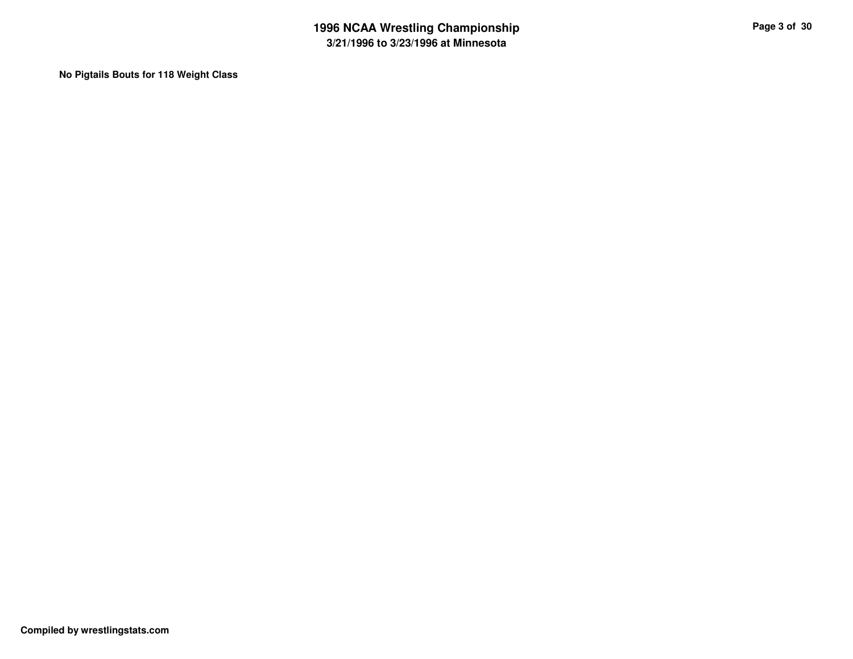**No Pigtails Bouts for 118 Weight Class**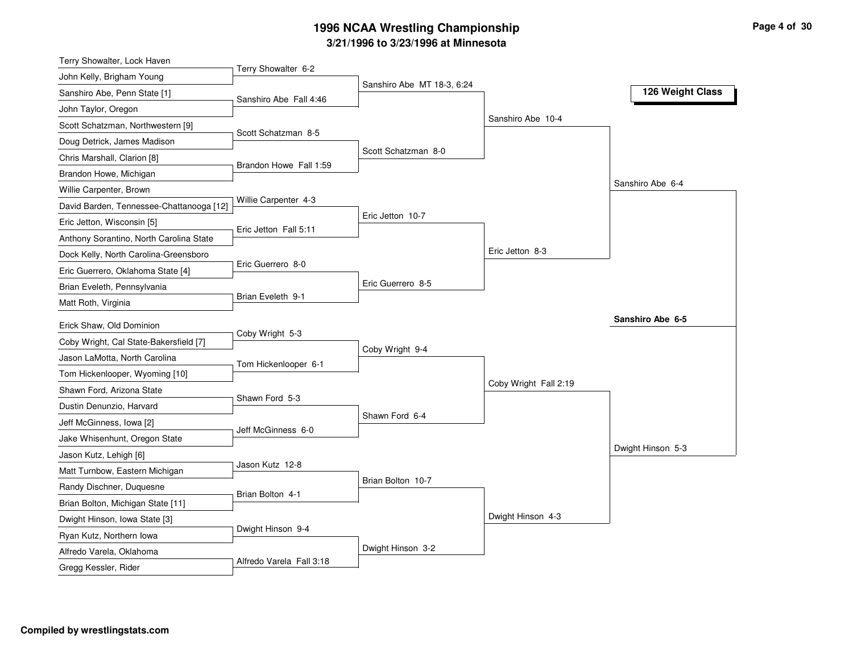| Terry Showalter, Lock Haven              |                        |                            |                       |                   |
|------------------------------------------|------------------------|----------------------------|-----------------------|-------------------|
| John Kelly, Brigham Young                | Terry Showalter 6-2    |                            |                       |                   |
| Sanshiro Abe, Penn State [1]             | Sanshiro Abe Fall 4:46 | Sanshiro Abe MT 18-3, 6:24 |                       | 126 Weight Class  |
| John Taylor, Oregon                      |                        |                            |                       |                   |
| Scott Schatzman, Northwestern [9]        |                        |                            | Sanshiro Abe 10-4     |                   |
| Doug Detrick, James Madison              | Scott Schatzman 8-5    |                            |                       |                   |
| Chris Marshall, Clarion [8]              |                        | Scott Schatzman 8-0        |                       |                   |
| Brandon Howe, Michigan                   | Brandon Howe Fall 1:59 |                            |                       |                   |
| Willie Carpenter, Brown                  |                        |                            |                       | Sanshiro Abe 6-4  |
| David Barden, Tennessee-Chattanooga [12] | Willie Carpenter 4-3   |                            |                       |                   |
| Eric Jetton, Wisconsin [5]               |                        | Eric Jetton 10-7           |                       |                   |
| Anthony Sorantino, North Carolina State  | Eric Jetton Fall 5:11  |                            |                       |                   |
| Dock Kelly, North Carolina-Greensboro    |                        |                            | Eric Jetton 8-3       |                   |
| Eric Guerrero, Oklahoma State [4]        | Eric Guerrero 8-0      |                            |                       |                   |
| Brian Eveleth, Pennsylvania              |                        | Eric Guerrero 8-5          |                       |                   |
| Matt Roth, Virginia                      | Brian Eveleth 9-1      |                            |                       |                   |
| Erick Shaw, Old Dominion                 |                        |                            |                       | Sanshiro Abe 6-5  |
| Coby Wright, Cal State-Bakersfield [7]   | Coby Wright 5-3        |                            |                       |                   |
| Jason LaMotta, North Carolina            |                        | Coby Wright 9-4            |                       |                   |
| Tom Hickenlooper, Wyoming [10]           | Tom Hickenlooper 6-1   |                            |                       |                   |
| Shawn Ford, Arizona State                |                        |                            | Coby Wright Fall 2:19 |                   |
| Dustin Denunzio, Harvard                 | Shawn Ford 5-3         |                            |                       |                   |
| Jeff McGinness, Iowa [2]                 |                        | Shawn Ford 6-4             |                       |                   |
| Jake Whisenhunt, Oregon State            | Jeff McGinness 6-0     |                            |                       |                   |
| Jason Kutz, Lehigh [6]                   |                        |                            |                       | Dwight Hinson 5-3 |
| Matt Turnbow, Eastern Michigan           | Jason Kutz 12-8        |                            |                       |                   |
| Randy Dischner, Duquesne                 |                        | Brian Bolton 10-7          |                       |                   |
| Brian Bolton, Michigan State [11]        | Brian Bolton 4-1       |                            |                       |                   |
| Dwight Hinson, Iowa State [3]            |                        |                            | Dwight Hinson 4-3     |                   |
| Ryan Kutz, Northern Iowa                 | Dwight Hinson 9-4      |                            |                       |                   |
|                                          |                        |                            |                       |                   |
| Alfredo Varela, Oklahoma                 |                        | Dwight Hinson 3-2          |                       |                   |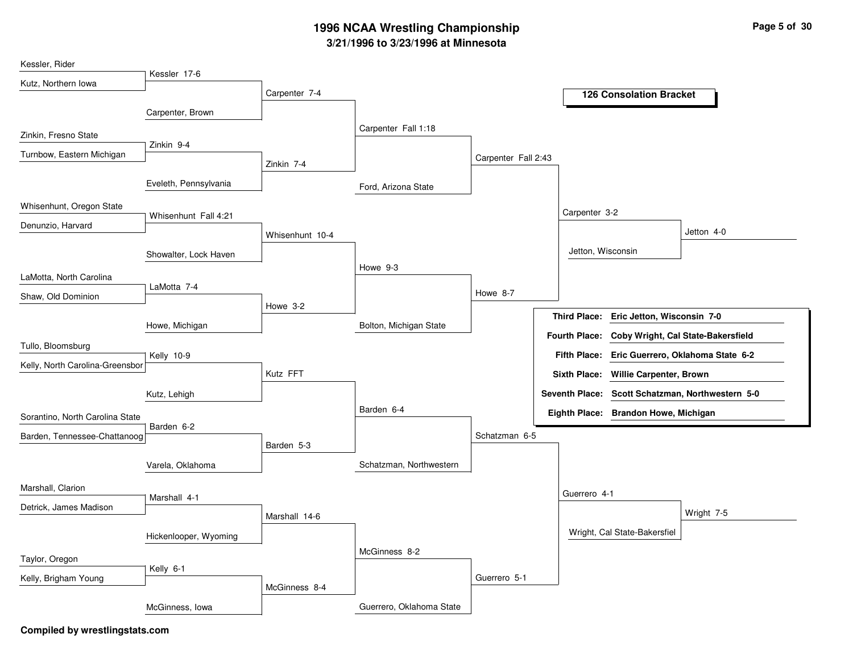| Kessler, Rider                  |                       |                 |                          |                     |                      |                                         |                                                  |
|---------------------------------|-----------------------|-----------------|--------------------------|---------------------|----------------------|-----------------------------------------|--------------------------------------------------|
| Kutz, Northern Iowa             | Kessler 17-6          |                 |                          |                     |                      |                                         |                                                  |
|                                 |                       | Carpenter 7-4   |                          |                     |                      | <b>126 Consolation Bracket</b>          |                                                  |
|                                 | Carpenter, Brown      |                 |                          |                     |                      |                                         |                                                  |
| Zinkin, Fresno State            |                       |                 | Carpenter Fall 1:18      |                     |                      |                                         |                                                  |
| Turnbow, Eastern Michigan       | Zinkin 9-4            |                 |                          | Carpenter Fall 2:43 |                      |                                         |                                                  |
|                                 |                       | Zinkin 7-4      |                          |                     |                      |                                         |                                                  |
|                                 | Eveleth, Pennsylvania |                 | Ford, Arizona State      |                     |                      |                                         |                                                  |
| Whisenhunt, Oregon State        |                       |                 |                          |                     | Carpenter 3-2        |                                         |                                                  |
| Denunzio, Harvard               | Whisenhunt Fall 4:21  |                 |                          |                     |                      |                                         |                                                  |
|                                 |                       | Whisenhunt 10-4 |                          |                     |                      |                                         | Jetton 4-0                                       |
|                                 | Showalter, Lock Haven |                 |                          |                     | Jetton, Wisconsin    |                                         |                                                  |
| LaMotta, North Carolina         |                       |                 | Howe 9-3                 |                     |                      |                                         |                                                  |
| Shaw, Old Dominion              | LaMotta 7-4           |                 |                          | Howe 8-7            |                      |                                         |                                                  |
|                                 |                       | Howe 3-2        |                          |                     |                      | Third Place: Eric Jetton, Wisconsin 7-0 |                                                  |
|                                 | Howe, Michigan        |                 | Bolton, Michigan State   |                     |                      |                                         |                                                  |
| Tullo, Bloomsburg               |                       |                 |                          |                     | <b>Fourth Place:</b> |                                         | Coby Wright, Cal State-Bakersfield               |
| Kelly, North Carolina-Greensbor | Kelly 10-9            |                 |                          |                     |                      |                                         | Fifth Place: Eric Guerrero, Oklahoma State 6-2   |
|                                 |                       | Kutz FFT        |                          |                     |                      | Sixth Place: Willie Carpenter, Brown    |                                                  |
|                                 | Kutz, Lehigh          |                 |                          |                     |                      |                                         | Seventh Place: Scott Schatzman, Northwestern 5-0 |
| Sorantino, North Carolina State |                       |                 | Barden 6-4               |                     |                      | Eighth Place: Brandon Howe, Michigan    |                                                  |
| Barden, Tennessee-Chattanoog    | Barden 6-2            |                 |                          | Schatzman 6-5       |                      |                                         |                                                  |
|                                 |                       | Barden 5-3      |                          |                     |                      |                                         |                                                  |
|                                 | Varela, Oklahoma      |                 | Schatzman, Northwestern  |                     |                      |                                         |                                                  |
| Marshall, Clarion               |                       |                 |                          |                     |                      |                                         |                                                  |
| Detrick, James Madison          | Marshall 4-1          |                 |                          |                     | Guerrero 4-1         |                                         |                                                  |
|                                 |                       | Marshall 14-6   |                          |                     |                      |                                         | Wright 7-5                                       |
|                                 | Hickenlooper, Wyoming |                 |                          |                     |                      | Wright, Cal State-Bakersfiel            |                                                  |
| Taylor, Oregon                  |                       |                 | McGinness 8-2            |                     |                      |                                         |                                                  |
|                                 | Kelly 6-1             |                 |                          |                     |                      |                                         |                                                  |
| Kelly, Brigham Young            |                       | McGinness 8-4   |                          | Guerrero 5-1        |                      |                                         |                                                  |
|                                 | McGinness, Iowa       |                 | Guerrero, Oklahoma State |                     |                      |                                         |                                                  |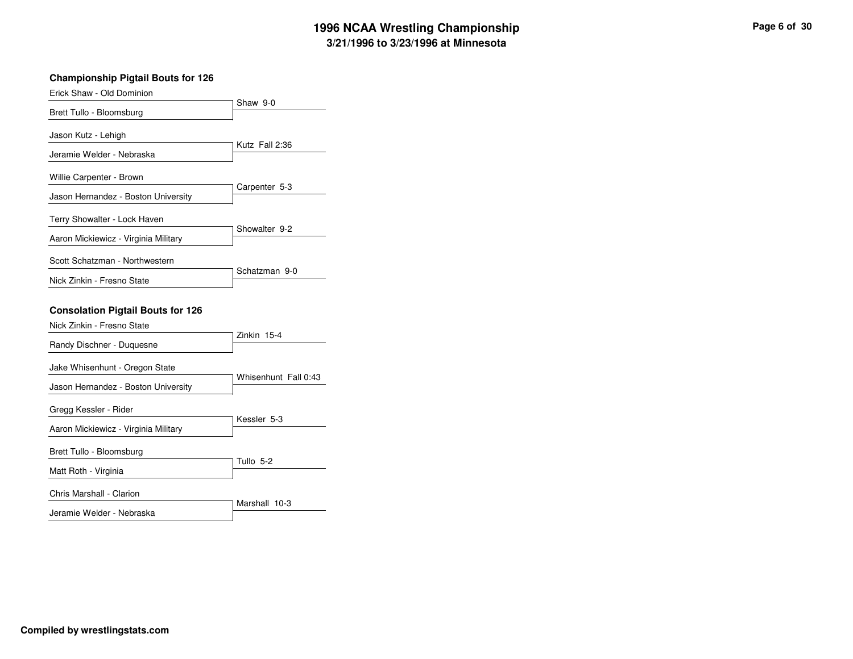| <b>Championship Pigtail Bouts for 126</b>                              |                      |
|------------------------------------------------------------------------|----------------------|
| Erick Shaw - Old Dominion                                              | Shaw 9-0             |
| Brett Tullo - Bloomsburg                                               |                      |
| Jason Kutz - Lehigh                                                    |                      |
| Jeramie Welder - Nebraska                                              | Kutz Fall 2:36       |
| Willie Carpenter - Brown                                               |                      |
| Jason Hernandez - Boston University                                    | Carpenter 5-3        |
| Terry Showalter - Lock Haven                                           |                      |
| Aaron Mickiewicz - Virginia Military                                   | Showalter 9-2        |
| Scott Schatzman - Northwestern                                         |                      |
| Nick Zinkin - Fresno State                                             | Schatzman 9-0        |
| <b>Consolation Pigtail Bouts for 126</b><br>Nick Zinkin - Fresno State | Zinkin 15-4          |
| Randy Dischner - Duquesne                                              |                      |
| Jake Whisenhunt - Oregon State<br>Jason Hernandez - Boston University  | Whisenhunt Fall 0:43 |
| Gregg Kessler - Rider                                                  | Kessler 5-3          |
| Aaron Mickiewicz - Virginia Military                                   |                      |
| Brett Tullo - Bloomsburg                                               |                      |
| Matt Roth - Virginia                                                   | Tullo 5-2            |
| Chris Marshall - Clarion                                               |                      |
| Jeramie Welder - Nebraska                                              | Marshall 10-3        |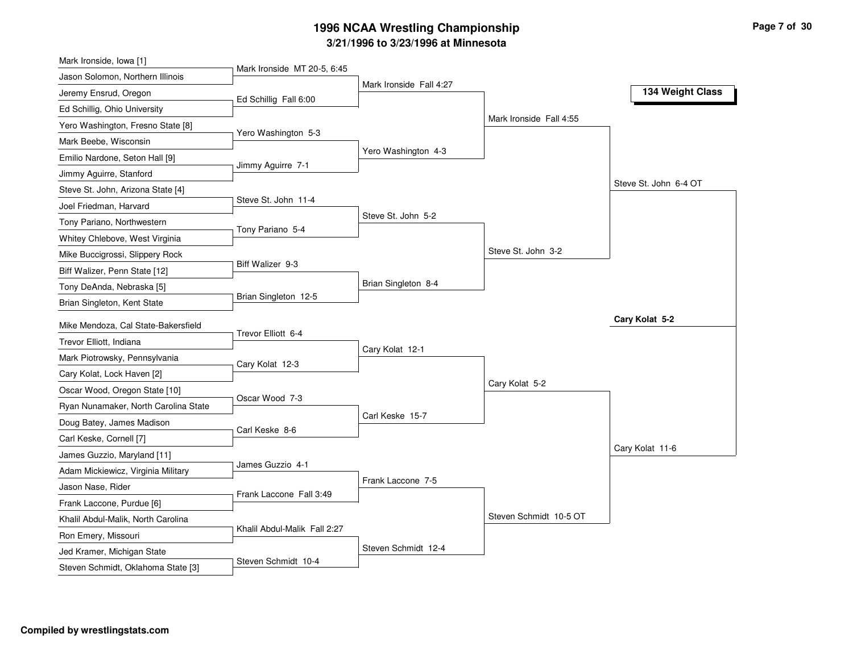| Mark Ironside, Iowa [1]              |                              |                         |                         |                       |
|--------------------------------------|------------------------------|-------------------------|-------------------------|-----------------------|
| Jason Solomon, Northern Illinois     | Mark Ironside MT 20-5, 6:45  |                         |                         |                       |
| Jeremy Ensrud, Oregon                | Ed Schillig Fall 6:00        | Mark Ironside Fall 4:27 |                         | 134 Weight Class      |
| Ed Schillig, Ohio University         |                              |                         |                         |                       |
| Yero Washington, Fresno State [8]    |                              |                         | Mark Ironside Fall 4:55 |                       |
| Mark Beebe, Wisconsin                | Yero Washington 5-3          |                         |                         |                       |
| Emilio Nardone, Seton Hall [9]       |                              | Yero Washington 4-3     |                         |                       |
| Jimmy Aguirre, Stanford              | Jimmy Aguirre 7-1            |                         |                         |                       |
| Steve St. John, Arizona State [4]    |                              |                         |                         | Steve St. John 6-4 OT |
| Joel Friedman, Harvard               | Steve St. John 11-4          |                         |                         |                       |
| Tony Pariano, Northwestern           | Tony Pariano 5-4             | Steve St. John 5-2      |                         |                       |
| Whitey Chlebove, West Virginia       |                              |                         |                         |                       |
| Mike Buccigrossi, Slippery Rock      |                              |                         | Steve St. John 3-2      |                       |
| Biff Walizer, Penn State [12]        | Biff Walizer 9-3             |                         |                         |                       |
| Tony DeAnda, Nebraska [5]            |                              | Brian Singleton 8-4     |                         |                       |
| Brian Singleton, Kent State          | Brian Singleton 12-5         |                         |                         |                       |
| Mike Mendoza, Cal State-Bakersfield  |                              |                         |                         | Cary Kolat 5-2        |
| Trevor Elliott, Indiana              | Trevor Elliott 6-4           |                         |                         |                       |
| Mark Piotrowsky, Pennsylvania        |                              | Cary Kolat 12-1         |                         |                       |
| Cary Kolat, Lock Haven [2]           | Cary Kolat 12-3              |                         |                         |                       |
| Oscar Wood, Oregon State [10]        |                              |                         | Cary Kolat 5-2          |                       |
| Ryan Nunamaker, North Carolina State | Oscar Wood 7-3               |                         |                         |                       |
| Doug Batey, James Madison            |                              | Carl Keske 15-7         |                         |                       |
| Carl Keske, Cornell [7]              | Carl Keske 8-6               |                         |                         |                       |
| James Guzzio, Maryland [11]          |                              |                         |                         | Cary Kolat 11-6       |
| Adam Mickiewicz, Virginia Military   | James Guzzio 4-1             |                         |                         |                       |
| Jason Nase, Rider                    |                              | Frank Laccone 7-5       |                         |                       |
| Frank Laccone, Purdue [6]            | Frank Laccone Fall 3:49      |                         |                         |                       |
| Khalil Abdul-Malik, North Carolina   |                              |                         | Steven Schmidt 10-5 OT  |                       |
| Ron Emery, Missouri                  | Khalil Abdul-Malik Fall 2:27 |                         |                         |                       |
| Jed Kramer, Michigan State           |                              | Steven Schmidt 12-4     |                         |                       |
|                                      |                              |                         |                         |                       |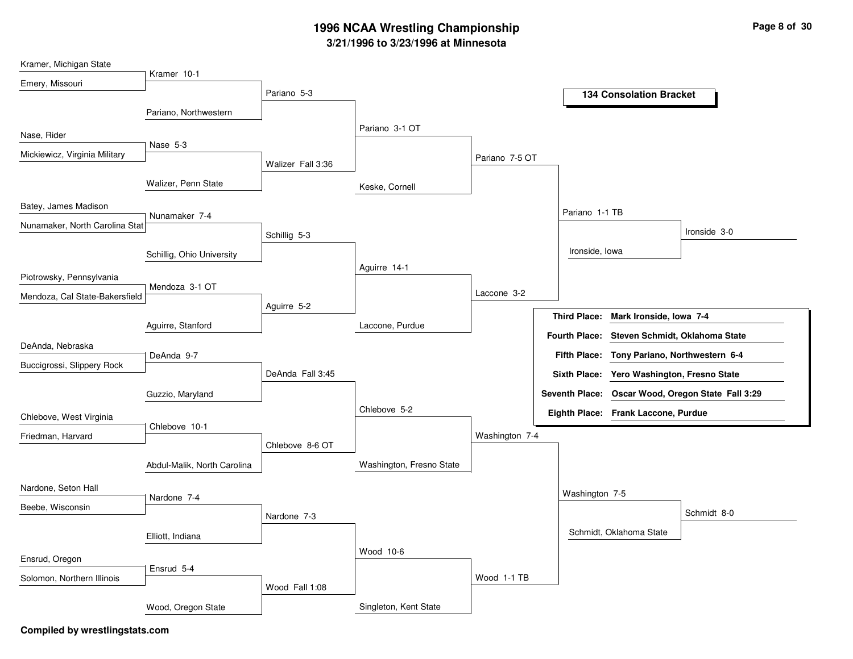| Kramer, Michigan State         | Kramer 10-1                 |                   |                          |                |                      |                                     |                                                   |
|--------------------------------|-----------------------------|-------------------|--------------------------|----------------|----------------------|-------------------------------------|---------------------------------------------------|
| Emery, Missouri                |                             |                   |                          |                |                      |                                     |                                                   |
|                                |                             | Pariano 5-3       |                          |                |                      | <b>134 Consolation Bracket</b>      |                                                   |
|                                | Pariano, Northwestern       |                   |                          |                |                      |                                     |                                                   |
| Nase, Rider                    |                             |                   | Pariano 3-1 OT           |                |                      |                                     |                                                   |
|                                | Nase 5-3                    |                   |                          |                |                      |                                     |                                                   |
| Mickiewicz, Virginia Military  |                             | Walizer Fall 3:36 |                          | Pariano 7-5 OT |                      |                                     |                                                   |
|                                | Walizer, Penn State         |                   | Keske, Cornell           |                |                      |                                     |                                                   |
| Batey, James Madison           |                             |                   |                          |                | Pariano 1-1 TB       |                                     |                                                   |
| Nunamaker, North Carolina Stat | Nunamaker 7-4               |                   |                          |                |                      |                                     |                                                   |
|                                |                             | Schillig 5-3      |                          |                |                      |                                     | Ironside 3-0                                      |
|                                | Schillig, Ohio University   |                   |                          |                | Ironside, Iowa       |                                     |                                                   |
| Piotrowsky, Pennsylvania       |                             |                   | Aguirre 14-1             |                |                      |                                     |                                                   |
|                                | Mendoza 3-1 OT              |                   |                          | Laccone 3-2    |                      |                                     |                                                   |
| Mendoza, Cal State-Bakersfield |                             | Aguirre 5-2       |                          |                |                      |                                     |                                                   |
|                                | Aguirre, Stanford           |                   | Laccone, Purdue          |                | <b>Third Place:</b>  | Mark Ironside, Iowa 7-4             |                                                   |
|                                |                             |                   |                          |                | <b>Fourth Place:</b> | Steven Schmidt, Oklahoma State      |                                                   |
| DeAnda, Nebraska               | DeAnda 9-7                  |                   |                          |                | <b>Fifth Place:</b>  | Tony Pariano, Northwestern 6-4      |                                                   |
| Buccigrossi, Slippery Rock     |                             | DeAnda Fall 3:45  |                          |                | <b>Sixth Place:</b>  | Yero Washington, Fresno State       |                                                   |
|                                | Guzzio, Maryland            |                   |                          |                |                      |                                     | Seventh Place: Oscar Wood, Oregon State Fall 3:29 |
| Chlebove, West Virginia        |                             |                   | Chlebove 5-2             |                |                      | Eighth Place: Frank Laccone, Purdue |                                                   |
| Friedman, Harvard              | Chlebove 10-1               |                   |                          | Washington 7-4 |                      |                                     |                                                   |
|                                |                             | Chlebove 8-6 OT   |                          |                |                      |                                     |                                                   |
|                                | Abdul-Malik, North Carolina |                   | Washington, Fresno State |                |                      |                                     |                                                   |
| Nardone, Seton Hall            |                             |                   |                          |                | Washington 7-5       |                                     |                                                   |
| Beebe, Wisconsin               | Nardone 7-4                 |                   |                          |                |                      |                                     |                                                   |
|                                |                             | Nardone 7-3       |                          |                |                      |                                     | Schmidt 8-0                                       |
|                                | Elliott, Indiana            |                   |                          |                |                      | Schmidt, Oklahoma State             |                                                   |
| Ensrud, Oregon                 |                             |                   | Wood 10-6                |                |                      |                                     |                                                   |
|                                | Ensrud 5-4                  |                   |                          |                |                      |                                     |                                                   |
| Solomon, Northern Illinois     |                             | Wood Fall 1:08    |                          | Wood 1-1 TB    |                      |                                     |                                                   |
|                                | Wood, Oregon State          |                   | Singleton, Kent State    |                |                      |                                     |                                                   |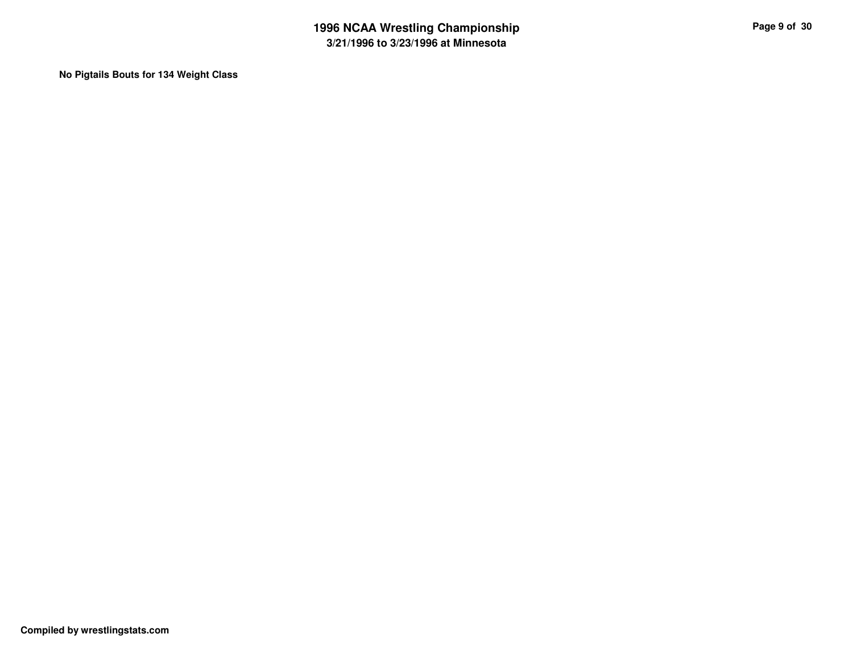**No Pigtails Bouts for 134 Weight Class**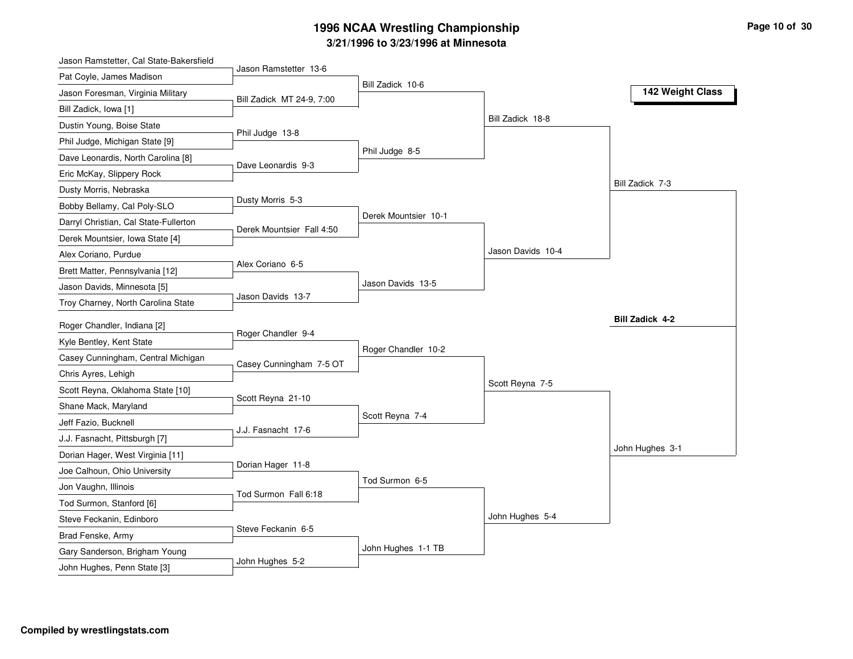| Jason Ramstetter, Cal State-Bakersfield                      |                           |                      |                   |                        |
|--------------------------------------------------------------|---------------------------|----------------------|-------------------|------------------------|
| Pat Coyle, James Madison                                     | Jason Ramstetter 13-6     |                      |                   |                        |
| Jason Foresman, Virginia Military                            | Bill Zadick MT 24-9, 7:00 | Bill Zadick 10-6     |                   | 142 Weight Class       |
| Bill Zadick, Iowa [1]                                        |                           |                      |                   |                        |
| Dustin Young, Boise State                                    |                           |                      | Bill Zadick 18-8  |                        |
| Phil Judge, Michigan State [9]                               | Phil Judge 13-8           |                      |                   |                        |
| Dave Leonardis, North Carolina [8]                           |                           | Phil Judge 8-5       |                   |                        |
| Eric McKay, Slippery Rock                                    | Dave Leonardis 9-3        |                      |                   |                        |
| Dusty Morris, Nebraska                                       |                           |                      |                   | Bill Zadick 7-3        |
| Bobby Bellamy, Cal Poly-SLO                                  | Dusty Morris 5-3          |                      |                   |                        |
| Darryl Christian, Cal State-Fullerton                        |                           | Derek Mountsier 10-1 |                   |                        |
| Derek Mountsier, Iowa State [4]                              | Derek Mountsier Fall 4:50 |                      |                   |                        |
| Alex Coriano, Purdue                                         |                           |                      | Jason Davids 10-4 |                        |
| Brett Matter, Pennsylvania [12]                              | Alex Coriano 6-5          |                      |                   |                        |
| Jason Davids, Minnesota [5]                                  |                           | Jason Davids 13-5    |                   |                        |
| Troy Charney, North Carolina State                           | Jason Davids 13-7         |                      |                   |                        |
| Roger Chandler, Indiana [2]                                  |                           |                      |                   | <b>Bill Zadick 4-2</b> |
| Kyle Bentley, Kent State                                     | Roger Chandler 9-4        |                      |                   |                        |
| Casey Cunningham, Central Michigan                           |                           | Roger Chandler 10-2  |                   |                        |
| Chris Ayres, Lehigh                                          | Casey Cunningham 7-5 OT   |                      |                   |                        |
| Scott Reyna, Oklahoma State [10]                             |                           |                      | Scott Reyna 7-5   |                        |
|                                                              | Scott Reyna 21-10         |                      |                   |                        |
| Shane Mack, Maryland                                         |                           | Scott Reyna 7-4      |                   |                        |
| Jeff Fazio, Bucknell<br>J.J. Fasnacht, Pittsburgh [7]        | J.J. Fasnacht 17-6        |                      |                   |                        |
|                                                              |                           |                      |                   | John Hughes 3-1        |
| Dorian Hager, West Virginia [11]                             | Dorian Hager 11-8         |                      |                   |                        |
| Joe Calhoun, Ohio University                                 |                           | Tod Surmon 6-5       |                   |                        |
| Jon Vaughn, Illinois                                         | Tod Surmon Fall 6:18      |                      |                   |                        |
| Tod Surmon, Stanford [6]                                     |                           |                      | John Hughes 5-4   |                        |
| Steve Feckanin, Edinboro                                     | Steve Feckanin 6-5        |                      |                   |                        |
| Brad Fenske, Army                                            |                           | John Hughes 1-1 TB   |                   |                        |
| Gary Sanderson, Brigham Young<br>John Hughes, Penn State [3] | John Hughes 5-2           |                      |                   |                        |
|                                                              |                           |                      |                   |                        |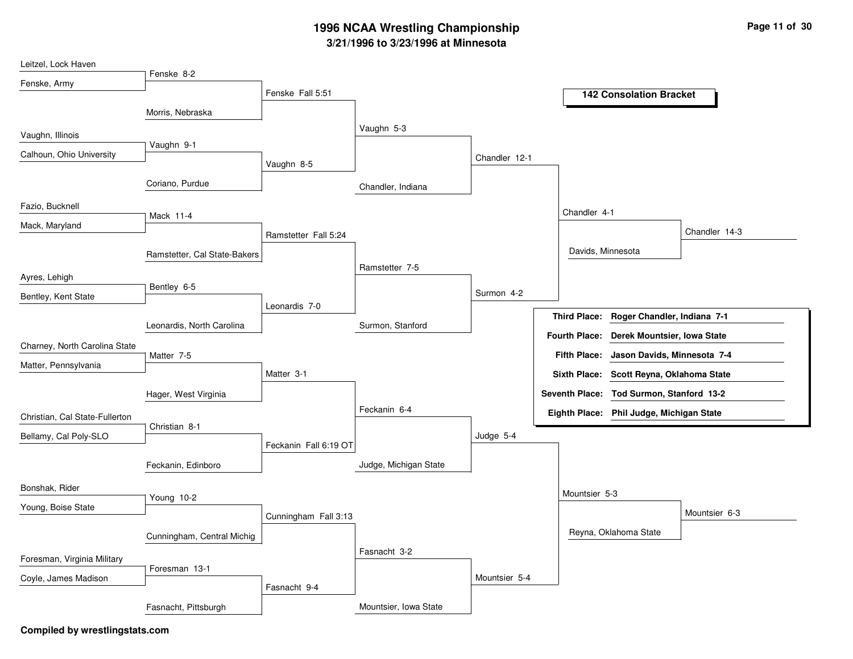| Leitzel, Lock Haven            |                              |                       |                       |               |                                                     |
|--------------------------------|------------------------------|-----------------------|-----------------------|---------------|-----------------------------------------------------|
| Fenske, Army                   | Fenske 8-2                   |                       |                       |               |                                                     |
|                                |                              | Fenske Fall 5:51      |                       |               | <b>142 Consolation Bracket</b>                      |
|                                | Morris, Nebraska             |                       |                       |               |                                                     |
| Vaughn, Illinois               |                              |                       | Vaughn 5-3            |               |                                                     |
| Calhoun, Ohio University       | Vaughn 9-1                   |                       |                       |               |                                                     |
|                                |                              | Vaughn 8-5            |                       | Chandler 12-1 |                                                     |
|                                | Coriano, Purdue              |                       | Chandler, Indiana     |               |                                                     |
| Fazio, Bucknell                | Mack 11-4                    |                       |                       |               | Chandler 4-1                                        |
| Mack, Maryland                 |                              |                       |                       |               | Chandler 14-3                                       |
|                                |                              | Ramstetter Fall 5:24  |                       |               |                                                     |
|                                | Ramstetter, Cal State-Bakers |                       | Ramstetter 7-5        |               | Davids, Minnesota                                   |
| Ayres, Lehigh                  |                              |                       |                       |               |                                                     |
| Bentley, Kent State            | Bentley 6-5                  |                       |                       | Surmon 4-2    |                                                     |
|                                |                              | Leonardis 7-0         |                       |               | Roger Chandler, Indiana 7-1<br><b>Third Place:</b>  |
|                                | Leonardis, North Carolina    |                       | Surmon, Stanford      |               | <b>Fourth Place:</b><br>Derek Mountsier, Iowa State |
| Charney, North Carolina State  |                              |                       |                       |               |                                                     |
| Matter, Pennsylvania           | Matter 7-5                   |                       |                       |               | <b>Fifth Place:</b><br>Jason Davids, Minnesota 7-4  |
|                                |                              | Matter 3-1            |                       |               | Sixth Place: Scott Reyna, Oklahoma State            |
|                                | Hager, West Virginia         |                       |                       |               | Seventh Place: Tod Surmon, Stanford 13-2            |
| Christian, Cal State-Fullerton |                              |                       | Feckanin 6-4          |               | Eighth Place: Phil Judge, Michigan State            |
| Bellamy, Cal Poly-SLO          | Christian 8-1                |                       |                       | Judge 5-4     |                                                     |
|                                |                              | Feckanin Fall 6:19 OT |                       |               |                                                     |
|                                | Feckanin, Edinboro           |                       | Judge, Michigan State |               |                                                     |
| Bonshak, Rider                 |                              |                       |                       |               | Mountsier 5-3                                       |
| Young, Boise State             | Young 10-2                   |                       |                       |               | Mountsier 6-3                                       |
|                                |                              | Cunningham Fall 3:13  |                       |               |                                                     |
|                                | Cunningham, Central Michig   |                       |                       |               | Reyna, Oklahoma State                               |
| Foresman, Virginia Military    |                              |                       | Fasnacht 3-2          |               |                                                     |
| Coyle, James Madison           | Foresman 13-1                |                       |                       | Mountsier 5-4 |                                                     |
|                                |                              | Fasnacht 9-4          |                       |               |                                                     |
|                                | Fasnacht, Pittsburgh         |                       | Mountsier, Iowa State |               |                                                     |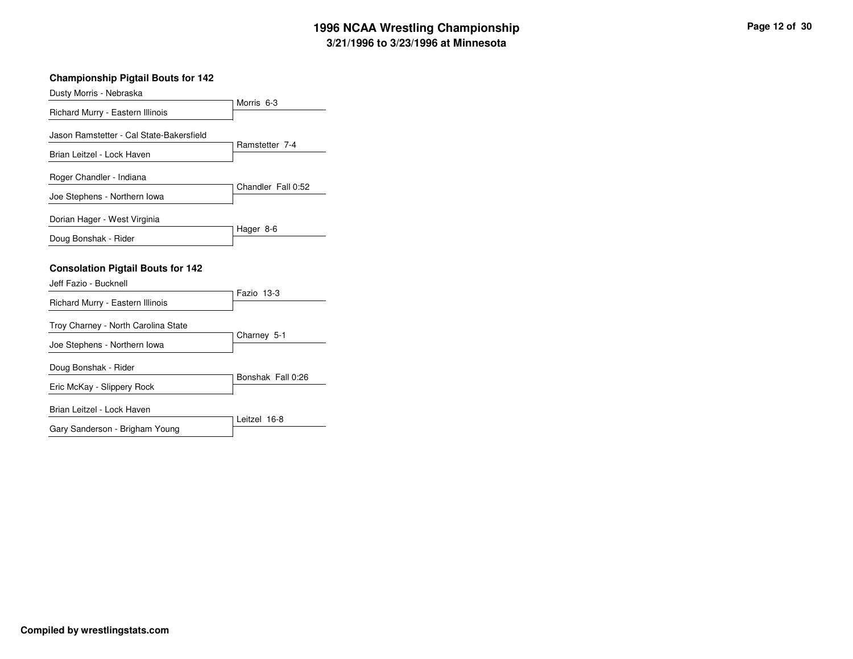#### **Championship Pigtail Bouts for 142**

| Dusty Morris - Nebraska                                             |                       |
|---------------------------------------------------------------------|-----------------------|
| Richard Murry - Eastern Illinois                                    | Morris <sub>6-3</sub> |
| Jason Ramstetter - Cal State-Bakersfield                            | Ramstetter 7-4        |
| Brian Leitzel - Lock Haven                                          |                       |
| Roger Chandler - Indiana                                            | Chandler Fall 0:52    |
| Joe Stephens - Northern Iowa                                        |                       |
| Dorian Hager - West Virginia                                        | Hager 8-6             |
| Doug Bonshak - Rider                                                |                       |
| <b>Consolation Pigtail Bouts for 142</b><br>Jeff Fazio - Bucknell   |                       |
| Richard Murry - Eastern Illinois                                    | Fazio 13-3            |
| Troy Charney - North Carolina State<br>Joe Stephens - Northern Iowa | Charney 5-1           |
|                                                                     |                       |
| Doug Bonshak - Rider                                                |                       |
| Eric McKay - Slippery Rock                                          | Bonshak Fall 0:26     |
| Brian Leitzel - Lock Haven                                          | Leitzel 16-8          |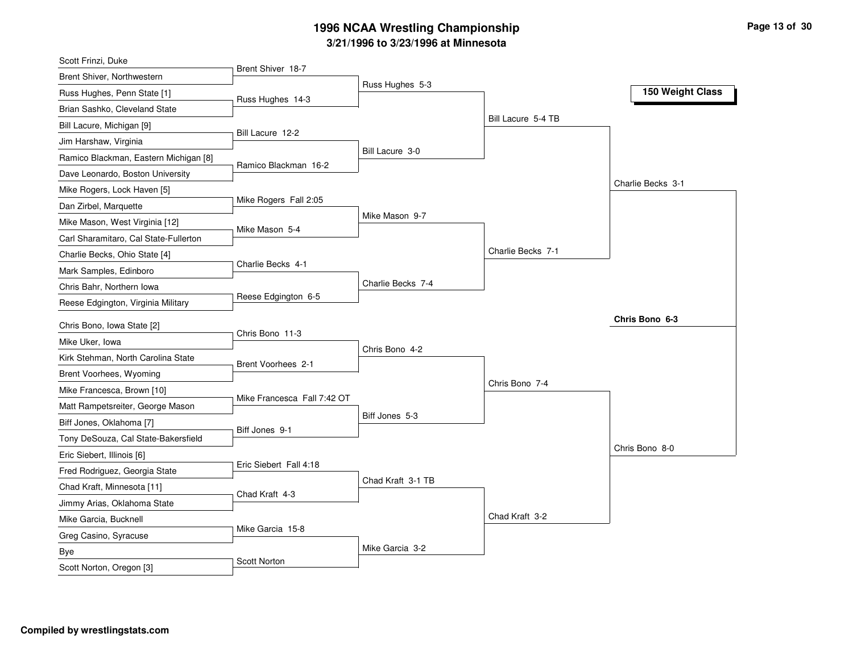| Scott Frinzi, Duke                    |                             |                   |                    |                   |
|---------------------------------------|-----------------------------|-------------------|--------------------|-------------------|
| Brent Shiver, Northwestern            | Brent Shiver 18-7           |                   |                    |                   |
| Russ Hughes, Penn State [1]           | Russ Hughes 14-3            | Russ Hughes 5-3   |                    | 150 Weight Class  |
| Brian Sashko, Cleveland State         |                             |                   |                    |                   |
| Bill Lacure, Michigan [9]             |                             |                   | Bill Lacure 5-4 TB |                   |
| Jim Harshaw, Virginia                 | Bill Lacure 12-2            |                   |                    |                   |
| Ramico Blackman, Eastern Michigan [8] |                             | Bill Lacure 3-0   |                    |                   |
| Dave Leonardo, Boston University      | Ramico Blackman 16-2        |                   |                    |                   |
| Mike Rogers, Lock Haven [5]           |                             |                   |                    | Charlie Becks 3-1 |
| Dan Zirbel, Marquette                 | Mike Rogers Fall 2:05       |                   |                    |                   |
| Mike Mason, West Virginia [12]        |                             | Mike Mason 9-7    |                    |                   |
| Carl Sharamitaro, Cal State-Fullerton | Mike Mason 5-4              |                   |                    |                   |
| Charlie Becks, Ohio State [4]         |                             |                   | Charlie Becks 7-1  |                   |
| Mark Samples, Edinboro                | Charlie Becks 4-1           |                   |                    |                   |
| Chris Bahr, Northern Iowa             |                             | Charlie Becks 7-4 |                    |                   |
| Reese Edgington, Virginia Military    | Reese Edgington 6-5         |                   |                    |                   |
| Chris Bono, Iowa State [2]            |                             |                   |                    | Chris Bono 6-3    |
| Mike Uker, Iowa                       | Chris Bono 11-3             |                   |                    |                   |
| Kirk Stehman, North Carolina State    |                             | Chris Bono 4-2    |                    |                   |
| Brent Voorhees, Wyoming               | Brent Voorhees 2-1          |                   |                    |                   |
| Mike Francesca, Brown [10]            |                             |                   | Chris Bono 7-4     |                   |
|                                       | Mike Francesca Fall 7:42 OT |                   |                    |                   |
| Matt Rampetsreiter, George Mason      |                             | Biff Jones 5-3    |                    |                   |
| Biff Jones, Oklahoma [7]              | Biff Jones 9-1              |                   |                    |                   |
| Tony DeSouza, Cal State-Bakersfield   |                             |                   |                    | Chris Bono 8-0    |
| Eric Siebert, Illinois [6]            | Eric Siebert Fall 4:18      |                   |                    |                   |
| Fred Rodriguez, Georgia State         |                             | Chad Kraft 3-1 TB |                    |                   |
| Chad Kraft, Minnesota [11]            | Chad Kraft 4-3              |                   |                    |                   |
| Jimmy Arias, Oklahoma State           |                             |                   | Chad Kraft 3-2     |                   |
| Mike Garcia, Bucknell                 |                             |                   |                    |                   |
|                                       | Mike Garcia 15-8            |                   |                    |                   |
| Greg Casino, Syracuse                 |                             |                   |                    |                   |
| Bye<br>Scott Norton, Oregon [3]       | <b>Scott Norton</b>         | Mike Garcia 3-2   |                    |                   |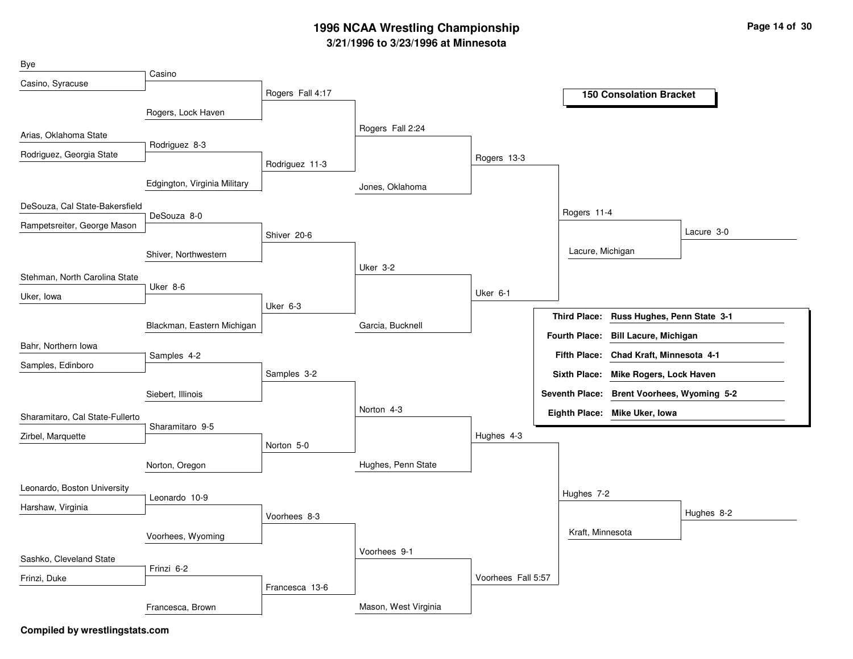| Bye                             |                              |                  |                      |                    |                      |                                            |            |
|---------------------------------|------------------------------|------------------|----------------------|--------------------|----------------------|--------------------------------------------|------------|
| Casino, Syracuse                | Casino                       |                  |                      |                    |                      |                                            |            |
|                                 |                              | Rogers Fall 4:17 |                      |                    |                      | <b>150 Consolation Bracket</b>             |            |
|                                 | Rogers, Lock Haven           |                  |                      |                    |                      |                                            |            |
| Arias, Oklahoma State           |                              |                  | Rogers Fall 2:24     |                    |                      |                                            |            |
| Rodriguez, Georgia State        | Rodriguez 8-3                |                  |                      | Rogers 13-3        |                      |                                            |            |
|                                 |                              | Rodriguez 11-3   |                      |                    |                      |                                            |            |
|                                 | Edgington, Virginia Military |                  | Jones, Oklahoma      |                    |                      |                                            |            |
| DeSouza, Cal State-Bakersfield  |                              |                  |                      |                    |                      |                                            |            |
| Rampetsreiter, George Mason     | DeSouza 8-0                  |                  |                      |                    | Rogers 11-4          |                                            |            |
|                                 |                              | Shiver 20-6      |                      |                    |                      |                                            | Lacure 3-0 |
|                                 | Shiver, Northwestern         |                  |                      |                    |                      | Lacure, Michigan                           |            |
| Stehman, North Carolina State   |                              |                  | <b>Uker 3-2</b>      |                    |                      |                                            |            |
|                                 | Uker 8-6                     |                  |                      | Uker 6-1           |                      |                                            |            |
| Uker, lowa                      |                              | Uker 6-3         |                      |                    |                      |                                            |            |
|                                 | Blackman, Eastern Michigan   |                  | Garcia, Bucknell     |                    | <b>Third Place:</b>  | Russ Hughes, Penn State 3-1                |            |
| Bahr, Northern Iowa             |                              |                  |                      |                    | <b>Fourth Place:</b> | <b>Bill Lacure, Michigan</b>               |            |
|                                 | Samples 4-2                  |                  |                      |                    | <b>Fifth Place:</b>  | Chad Kraft, Minnesota 4-1                  |            |
| Samples, Edinboro               |                              | Samples 3-2      |                      |                    |                      | Sixth Place: Mike Rogers, Lock Haven       |            |
|                                 | Siebert, Illinois            |                  |                      |                    |                      | Seventh Place: Brent Voorhees, Wyoming 5-2 |            |
|                                 |                              |                  | Norton 4-3           |                    |                      | Eighth Place: Mike Uker, Iowa              |            |
| Sharamitaro, Cal State-Fullerto | Sharamitaro 9-5              |                  |                      |                    |                      |                                            |            |
| Zirbel, Marquette               |                              | Norton 5-0       |                      | Hughes 4-3         |                      |                                            |            |
|                                 | Norton, Oregon               |                  | Hughes, Penn State   |                    |                      |                                            |            |
|                                 |                              |                  |                      |                    |                      |                                            |            |
| Leonardo, Boston University     | Leonardo 10-9                |                  |                      |                    | Hughes 7-2           |                                            |            |
| Harshaw, Virginia               |                              | Voorhees 8-3     |                      |                    |                      |                                            | Hughes 8-2 |
|                                 | Voorhees, Wyoming            |                  |                      |                    |                      | Kraft, Minnesota                           |            |
|                                 |                              |                  | Voorhees 9-1         |                    |                      |                                            |            |
| Sashko, Cleveland State         | Frinzi 6-2                   |                  |                      |                    |                      |                                            |            |
| Frinzi, Duke                    |                              |                  |                      | Voorhees Fall 5:57 |                      |                                            |            |
|                                 |                              | Francesca 13-6   |                      |                    |                      |                                            |            |
|                                 | Francesca, Brown             |                  | Mason, West Virginia |                    |                      |                                            |            |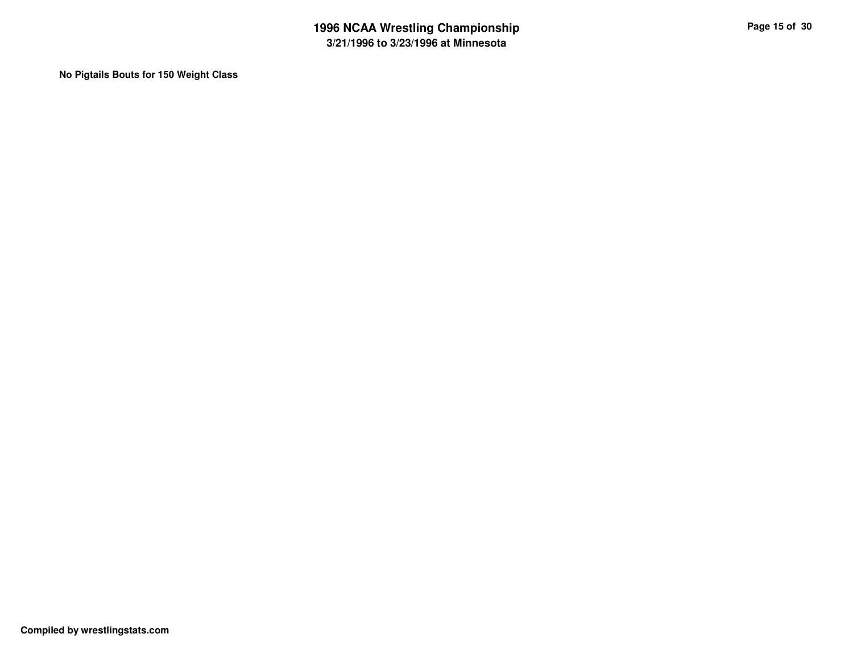**No Pigtails Bouts for 150 Weight Class**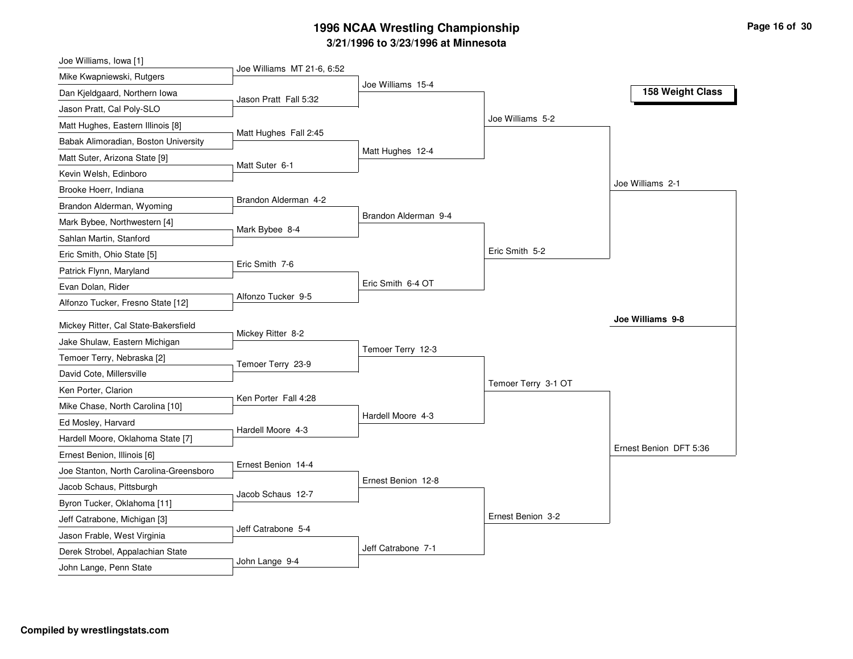| Joe Williams, Iowa [1]                                          |                            |                      |                     |                        |
|-----------------------------------------------------------------|----------------------------|----------------------|---------------------|------------------------|
| Mike Kwapniewski, Rutgers                                       | Joe Williams MT 21-6, 6:52 |                      |                     |                        |
| Dan Kjeldgaard, Northern Iowa                                   | Jason Pratt Fall 5:32      | Joe Williams 15-4    |                     | 158 Weight Class       |
| Jason Pratt, Cal Poly-SLO                                       |                            |                      |                     |                        |
| Matt Hughes, Eastern Illinois [8]                               |                            |                      | Joe Williams 5-2    |                        |
| Babak Alimoradian, Boston University                            | Matt Hughes Fall 2:45      |                      |                     |                        |
| Matt Suter, Arizona State [9]                                   |                            | Matt Hughes 12-4     |                     |                        |
| Kevin Welsh, Edinboro                                           | Matt Suter 6-1             |                      |                     |                        |
| Brooke Hoerr, Indiana                                           |                            |                      |                     | Joe Williams 2-1       |
| Brandon Alderman, Wyoming                                       | Brandon Alderman 4-2       |                      |                     |                        |
| Mark Bybee, Northwestern [4]                                    |                            | Brandon Alderman 9-4 |                     |                        |
| Sahlan Martin, Stanford                                         | Mark Bybee 8-4             |                      |                     |                        |
| Eric Smith, Ohio State [5]                                      |                            |                      | Eric Smith 5-2      |                        |
| Patrick Flynn, Maryland                                         | Eric Smith 7-6             |                      |                     |                        |
| Evan Dolan, Rider                                               |                            | Eric Smith 6-4 OT    |                     |                        |
| Alfonzo Tucker, Fresno State [12]                               | Alfonzo Tucker 9-5         |                      |                     |                        |
| Mickey Ritter, Cal State-Bakersfield                            |                            |                      |                     | Joe Williams 9-8       |
| Jake Shulaw, Eastern Michigan                                   | Mickey Ritter 8-2          |                      |                     |                        |
| Temoer Terry, Nebraska [2]                                      |                            | Temoer Terry 12-3    |                     |                        |
| David Cote, Millersville                                        | Temoer Terry 23-9          |                      |                     |                        |
| Ken Porter, Clarion                                             |                            |                      | Temoer Terry 3-1 OT |                        |
| Mike Chase, North Carolina [10]                                 | Ken Porter Fall 4:28       |                      |                     |                        |
| Ed Mosley, Harvard                                              |                            | Hardell Moore 4-3    |                     |                        |
| Hardell Moore, Oklahoma State [7]                               | Hardell Moore 4-3          |                      |                     |                        |
| Ernest Benion, Illinois [6]                                     |                            |                      |                     | Ernest Benion DFT 5:36 |
| Joe Stanton, North Carolina-Greensboro                          | Ernest Benion 14-4         |                      |                     |                        |
| Jacob Schaus, Pittsburgh                                        |                            | Ernest Benion 12-8   |                     |                        |
| Byron Tucker, Oklahoma [11]                                     | Jacob Schaus 12-7          |                      |                     |                        |
|                                                                 |                            |                      |                     |                        |
|                                                                 |                            |                      |                     |                        |
| Jeff Catrabone, Michigan [3]                                    | Jeff Catrabone 5-4         |                      | Ernest Benion 3-2   |                        |
| Jason Frable, West Virginia<br>Derek Strobel, Appalachian State |                            | Jeff Catrabone 7-1   |                     |                        |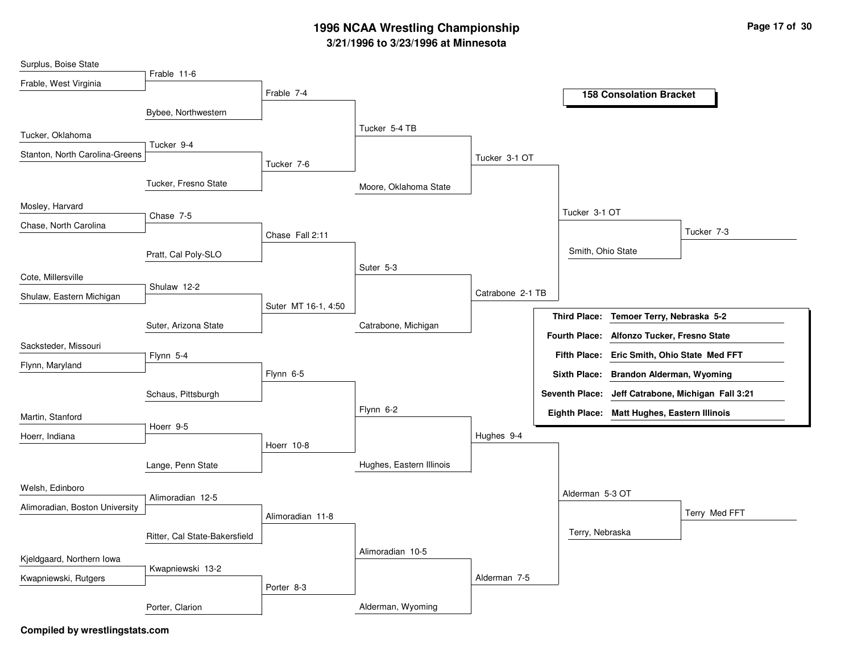| Surplus, Boise State           |                               |                     |                          |                  |                      |                                             |                                                   |
|--------------------------------|-------------------------------|---------------------|--------------------------|------------------|----------------------|---------------------------------------------|---------------------------------------------------|
| Frable, West Virginia          | Frable 11-6                   |                     |                          |                  |                      |                                             |                                                   |
|                                |                               | Frable 7-4          |                          |                  |                      | <b>158 Consolation Bracket</b>              |                                                   |
|                                | Bybee, Northwestern           |                     |                          |                  |                      |                                             |                                                   |
| Tucker, Oklahoma               |                               |                     | Tucker 5-4 TB            |                  |                      |                                             |                                                   |
| Stanton, North Carolina-Greens | Tucker 9-4                    |                     |                          |                  |                      |                                             |                                                   |
|                                |                               | Tucker 7-6          |                          | Tucker 3-1 OT    |                      |                                             |                                                   |
|                                | Tucker, Fresno State          |                     | Moore, Oklahoma State    |                  |                      |                                             |                                                   |
| Mosley, Harvard                | Chase 7-5                     |                     |                          |                  | Tucker 3-1 OT        |                                             |                                                   |
| Chase, North Carolina          |                               |                     |                          |                  |                      |                                             | Tucker 7-3                                        |
|                                |                               | Chase Fall 2:11     |                          |                  |                      |                                             |                                                   |
|                                | Pratt, Cal Poly-SLO           |                     | Suter 5-3                |                  | Smith, Ohio State    |                                             |                                                   |
| Cote, Millersville             |                               |                     |                          |                  |                      |                                             |                                                   |
| Shulaw, Eastern Michigan       | Shulaw 12-2                   |                     |                          | Catrabone 2-1 TB |                      |                                             |                                                   |
|                                |                               | Suter MT 16-1, 4:50 |                          |                  | <b>Third Place:</b>  | Temoer Terry, Nebraska 5-2                  |                                                   |
|                                | Suter, Arizona State          |                     | Catrabone, Michigan      |                  | <b>Fourth Place:</b> | Alfonzo Tucker, Fresno State                |                                                   |
| Sacksteder, Missouri           |                               |                     |                          |                  |                      |                                             |                                                   |
| Flynn, Maryland                | Flynn 5-4                     |                     |                          |                  | <b>Fifth Place:</b>  | Eric Smith, Ohio State Med FFT              |                                                   |
|                                |                               | Flynn 6-5           |                          |                  | <b>Sixth Place:</b>  | <b>Brandon Alderman, Wyoming</b>            |                                                   |
|                                | Schaus, Pittsburgh            |                     |                          |                  |                      |                                             | Seventh Place: Jeff Catrabone, Michigan Fall 3:21 |
| Martin, Stanford               |                               |                     | Flynn 6-2                |                  |                      | Eighth Place: Matt Hughes, Eastern Illinois |                                                   |
| Hoerr, Indiana                 | Hoerr 9-5                     |                     |                          | Hughes 9-4       |                      |                                             |                                                   |
|                                |                               | Hoerr 10-8          |                          |                  |                      |                                             |                                                   |
|                                | Lange, Penn State             |                     | Hughes, Eastern Illinois |                  |                      |                                             |                                                   |
| Welsh, Edinboro                |                               |                     |                          |                  |                      |                                             |                                                   |
| Alimoradian, Boston University | Alimoradian 12-5              |                     |                          |                  | Alderman 5-3 OT      |                                             |                                                   |
|                                |                               | Alimoradian 11-8    |                          |                  |                      |                                             | Terry Med FFT                                     |
|                                | Ritter, Cal State-Bakersfield |                     |                          |                  | Terry, Nebraska      |                                             |                                                   |
| Kjeldgaard, Northern lowa      |                               |                     | Alimoradian 10-5         |                  |                      |                                             |                                                   |
|                                | Kwapniewski 13-2              |                     |                          | Alderman 7-5     |                      |                                             |                                                   |
| Kwapniewski, Rutgers           |                               | Porter 8-3          |                          |                  |                      |                                             |                                                   |
|                                | Porter, Clarion               |                     | Alderman, Wyoming        |                  |                      |                                             |                                                   |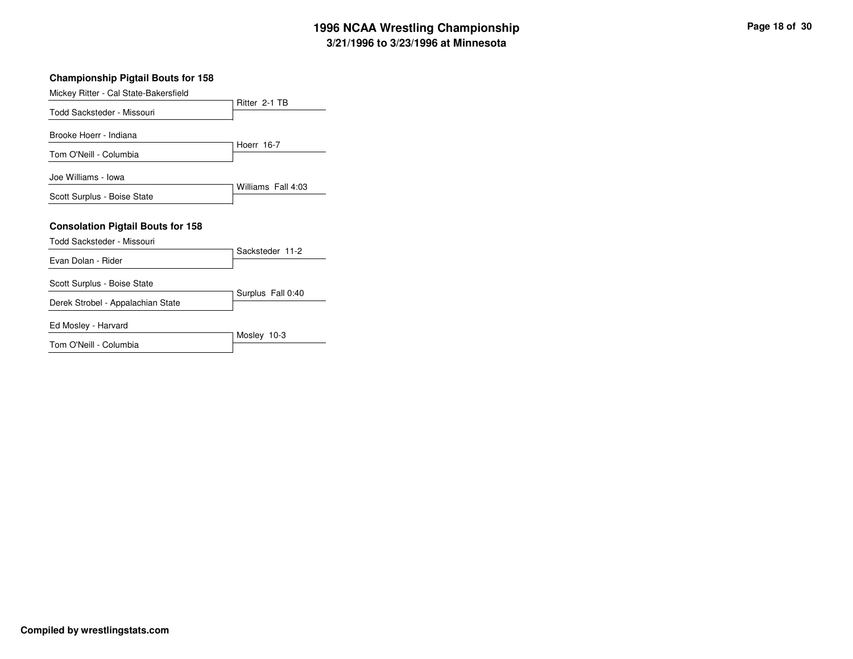| p | Page 18 of 30 |
|---|---------------|
|   |               |

| <b>Championship Pigtail Bouts for 158</b>                              |                    |  |  |  |
|------------------------------------------------------------------------|--------------------|--|--|--|
| Mickey Ritter - Cal State-Bakersfield                                  |                    |  |  |  |
|                                                                        | Ritter 2-1 TB      |  |  |  |
| Todd Sacksteder - Missouri                                             |                    |  |  |  |
| Brooke Hoerr - Indiana                                                 |                    |  |  |  |
| Tom O'Neill - Columbia                                                 | Hoerr 16-7         |  |  |  |
| Joe Williams - Iowa                                                    | Williams Fall 4:03 |  |  |  |
| Scott Surplus - Boise State                                            |                    |  |  |  |
| <b>Consolation Pigtail Bouts for 158</b><br>Todd Sacksteder - Missouri |                    |  |  |  |
| Evan Dolan - Rider                                                     | Sacksteder 11-2    |  |  |  |
|                                                                        |                    |  |  |  |
| Scott Surplus - Boise State                                            |                    |  |  |  |
| Derek Strobel - Appalachian State                                      | Surplus Fall 0:40  |  |  |  |
| Ed Mosley - Harvard                                                    |                    |  |  |  |
| Tom O'Neill - Columbia                                                 | Mosley 10-3        |  |  |  |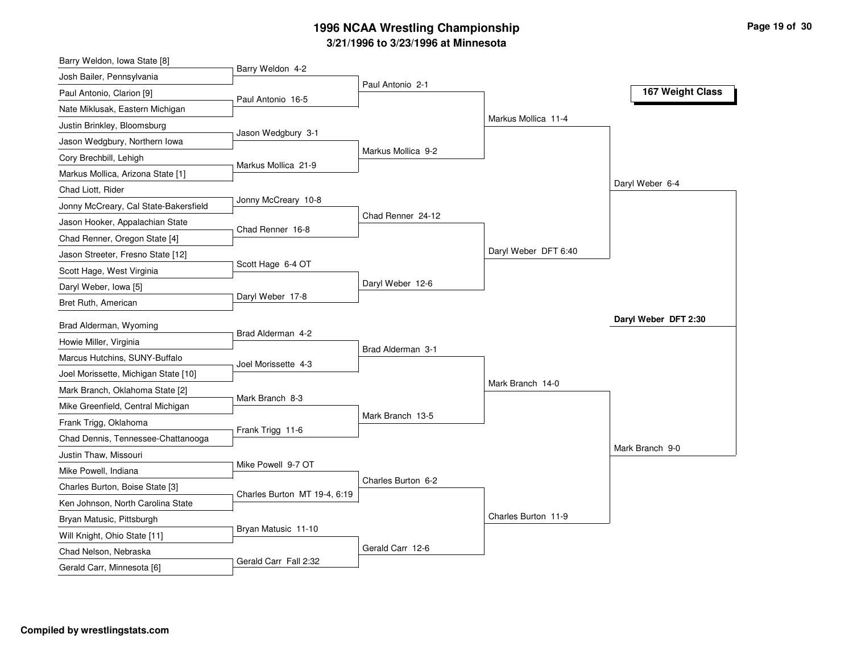| Barry Weldon, Iowa State [8]          |                              |                    |                      |                      |
|---------------------------------------|------------------------------|--------------------|----------------------|----------------------|
| Josh Bailer, Pennsylvania             | Barry Weldon 4-2             | Paul Antonio 2-1   |                      |                      |
| Paul Antonio, Clarion [9]             | Paul Antonio 16-5            |                    |                      | 167 Weight Class     |
| Nate Miklusak, Eastern Michigan       |                              |                    |                      |                      |
| Justin Brinkley, Bloomsburg           |                              |                    | Markus Mollica 11-4  |                      |
| Jason Wedgbury, Northern Iowa         | Jason Wedgbury 3-1           |                    |                      |                      |
| Cory Brechbill, Lehigh                | Markus Mollica 21-9          | Markus Mollica 9-2 |                      |                      |
| Markus Mollica, Arizona State [1]     |                              |                    |                      |                      |
| Chad Liott, Rider                     |                              |                    |                      | Daryl Weber 6-4      |
| Jonny McCreary, Cal State-Bakersfield | Jonny McCreary 10-8          |                    |                      |                      |
| Jason Hooker, Appalachian State       | Chad Renner 16-8             | Chad Renner 24-12  |                      |                      |
| Chad Renner, Oregon State [4]         |                              |                    |                      |                      |
| Jason Streeter, Fresno State [12]     |                              |                    | Daryl Weber DFT 6:40 |                      |
| Scott Hage, West Virginia             | Scott Hage 6-4 OT            |                    |                      |                      |
| Daryl Weber, Iowa [5]                 |                              | Daryl Weber 12-6   |                      |                      |
| Bret Ruth, American                   | Daryl Weber 17-8             |                    |                      |                      |
| Brad Alderman, Wyoming                |                              |                    |                      | Daryl Weber DFT 2:30 |
| Howie Miller, Virginia                | Brad Alderman 4-2            |                    |                      |                      |
| Marcus Hutchins, SUNY-Buffalo         |                              | Brad Alderman 3-1  |                      |                      |
| Joel Morissette, Michigan State [10]  | Joel Morissette 4-3          |                    |                      |                      |
| Mark Branch, Oklahoma State [2]       |                              |                    | Mark Branch 14-0     |                      |
| Mike Greenfield, Central Michigan     | Mark Branch 8-3              |                    |                      |                      |
| Frank Trigg, Oklahoma                 |                              | Mark Branch 13-5   |                      |                      |
| Chad Dennis, Tennessee-Chattanooga    | Frank Trigg 11-6             |                    |                      |                      |
| Justin Thaw, Missouri                 |                              |                    |                      | Mark Branch 9-0      |
| Mike Powell, Indiana                  | Mike Powell 9-7 OT           |                    |                      |                      |
| Charles Burton, Boise State [3]       |                              | Charles Burton 6-2 |                      |                      |
| Ken Johnson, North Carolina State     | Charles Burton MT 19-4, 6:19 |                    |                      |                      |
| Bryan Matusic, Pittsburgh             |                              |                    | Charles Burton 11-9  |                      |
| Will Knight, Ohio State [11]          | Bryan Matusic 11-10          |                    |                      |                      |
| Chad Nelson, Nebraska                 |                              | Gerald Carr 12-6   |                      |                      |
|                                       |                              |                    |                      |                      |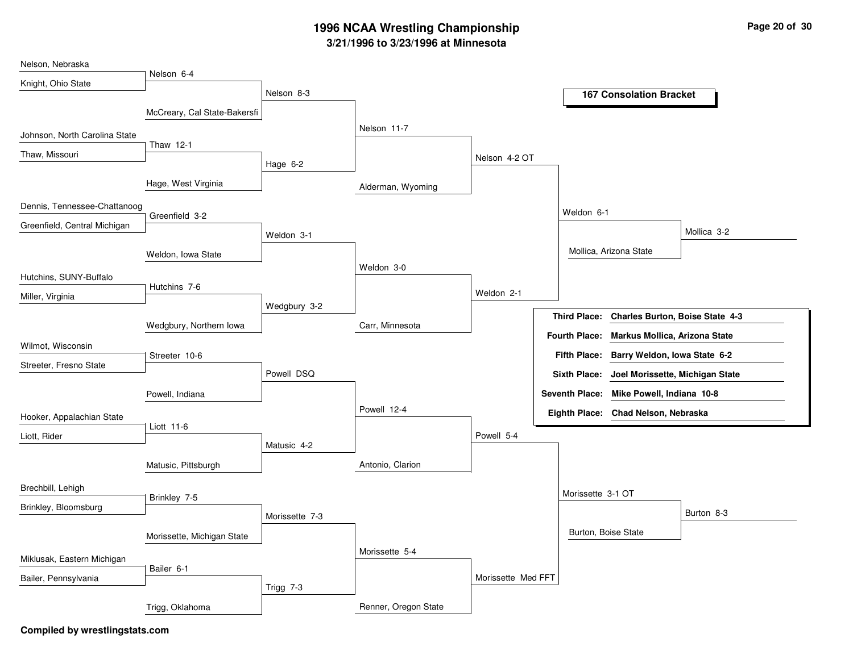| Nelson, Nebraska              |                              |                |                      |                    |                       |                                              |             |
|-------------------------------|------------------------------|----------------|----------------------|--------------------|-----------------------|----------------------------------------------|-------------|
| Knight, Ohio State            | Nelson 6-4                   |                |                      |                    |                       |                                              |             |
|                               |                              | Nelson 8-3     |                      |                    |                       | <b>167 Consolation Bracket</b>               |             |
|                               | McCreary, Cal State-Bakersfi |                |                      |                    |                       |                                              |             |
| Johnson, North Carolina State |                              |                | Nelson 11-7          |                    |                       |                                              |             |
| Thaw, Missouri                | Thaw 12-1                    |                |                      | Nelson 4-2 OT      |                       |                                              |             |
|                               | Hage, West Virginia          | Hage $6-2$     | Alderman, Wyoming    |                    |                       |                                              |             |
| Dennis, Tennessee-Chattanoog  |                              |                |                      |                    |                       |                                              |             |
|                               | Greenfield 3-2               |                |                      |                    | Weldon 6-1            |                                              |             |
| Greenfield, Central Michigan  |                              | Weldon 3-1     |                      |                    |                       |                                              | Mollica 3-2 |
|                               | Weldon, Iowa State           |                |                      |                    |                       | Mollica, Arizona State                       |             |
| Hutchins, SUNY-Buffalo        |                              |                | Weldon 3-0           |                    |                       |                                              |             |
|                               | Hutchins 7-6                 |                |                      | Weldon 2-1         |                       |                                              |             |
| Miller, Virginia              |                              | Wedgbury 3-2   |                      |                    |                       |                                              |             |
|                               | Wedgbury, Northern Iowa      |                | Carr, Minnesota      |                    | <b>Third Place:</b>   | Charles Burton, Boise State 4-3              |             |
| Wilmot, Wisconsin             |                              |                |                      |                    | <b>Fourth Place:</b>  | <b>Markus Mollica, Arizona State</b>         |             |
| Streeter, Fresno State        | Streeter 10-6                |                |                      |                    | <b>Fifth Place:</b>   | Barry Weldon, Iowa State 6-2                 |             |
|                               |                              | Powell DSQ     |                      |                    |                       | Sixth Place: Joel Morissette, Michigan State |             |
|                               | Powell, Indiana              |                |                      |                    | <b>Seventh Place:</b> | Mike Powell, Indiana 10-8                    |             |
| Hooker, Appalachian State     |                              |                | Powell 12-4          |                    | Eighth Place:         | Chad Nelson, Nebraska                        |             |
| Liott, Rider                  | Liott 11-6                   |                |                      | Powell 5-4         |                       |                                              |             |
|                               |                              | Matusic 4-2    |                      |                    |                       |                                              |             |
|                               | Matusic, Pittsburgh          |                | Antonio, Clarion     |                    |                       |                                              |             |
| Brechbill, Lehigh             |                              |                |                      |                    |                       |                                              |             |
| Brinkley, Bloomsburg          | Brinkley 7-5                 |                |                      |                    | Morissette 3-1 OT     |                                              |             |
|                               |                              | Morissette 7-3 |                      |                    |                       |                                              | Burton 8-3  |
|                               | Morissette, Michigan State   |                |                      |                    |                       | Burton, Boise State                          |             |
| Miklusak, Eastern Michigan    |                              |                | Morissette 5-4       |                    |                       |                                              |             |
| Bailer, Pennsylvania          | Bailer 6-1                   |                |                      | Morissette Med FFT |                       |                                              |             |
|                               |                              | Trigg 7-3      |                      |                    |                       |                                              |             |
|                               | Trigg, Oklahoma              |                | Renner, Oregon State |                    |                       |                                              |             |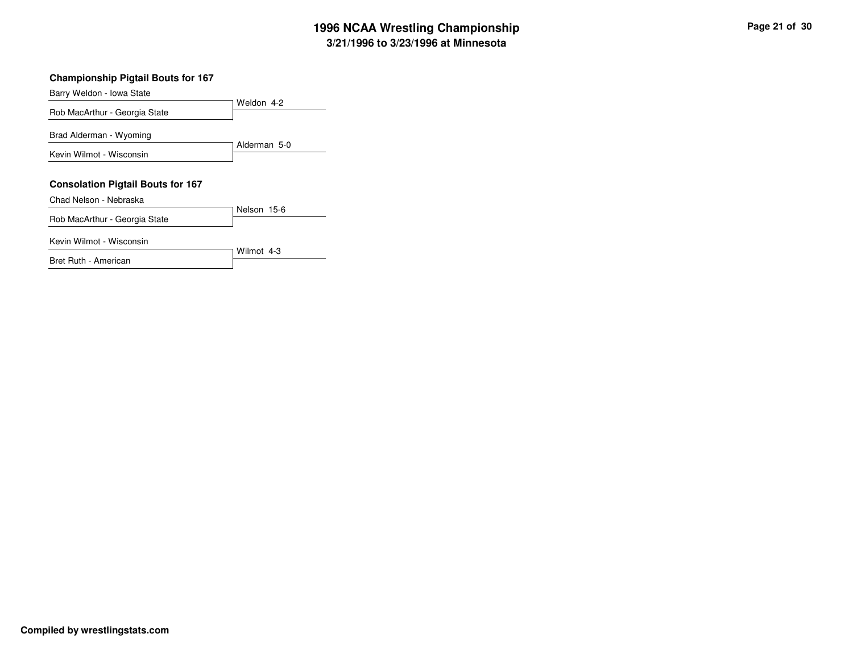#### **Championship Pigtail Bouts for 167**

Weldon 4-2Barry Weldon - Iowa StateRob MacArthur - Georgia StateAlderman 5-0Brad Alderman - WyomingKevin Wilmot - Wisconsin**Consolation Pigtail Bouts for 167**Nelson 15-6Chad Nelson - NebraskaRob MacArthur - Georgia State

Wilmot 4-3

Kevin Wilmot - Wisconsin

Bret Ruth - American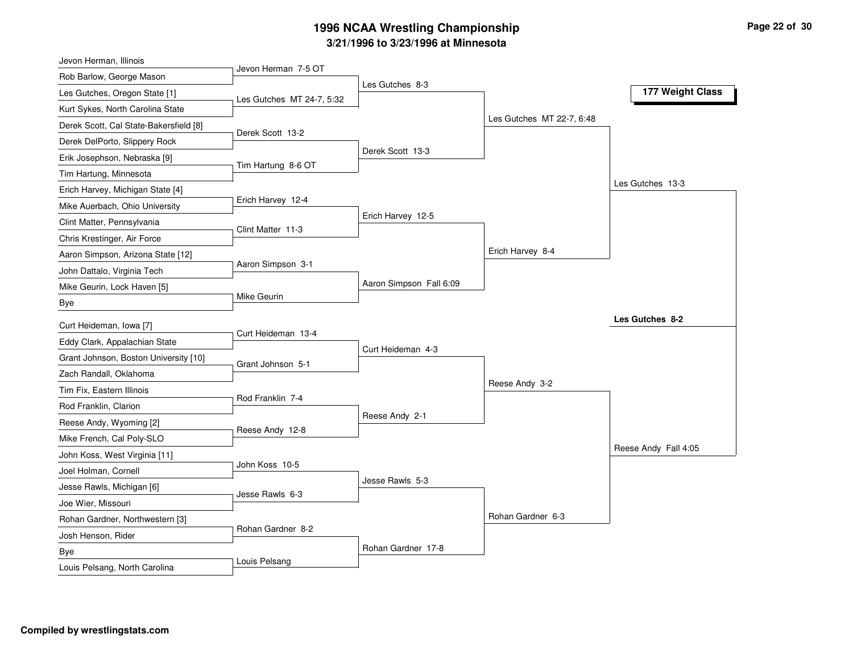| Jevon Herman, Illinois                 |                           |                         |                           |                      |
|----------------------------------------|---------------------------|-------------------------|---------------------------|----------------------|
| Rob Barlow, George Mason               | Jevon Herman 7-5 OT       | Les Gutches 8-3         |                           |                      |
| Les Gutches, Oregon State [1]          | Les Gutches MT 24-7, 5:32 |                         |                           | 177 Weight Class     |
| Kurt Sykes, North Carolina State       |                           |                         |                           |                      |
| Derek Scott, Cal State-Bakersfield [8] | Derek Scott 13-2          |                         | Les Gutches MT 22-7, 6:48 |                      |
| Derek DelPorto, Slippery Rock          |                           |                         |                           |                      |
| Erik Josephson, Nebraska [9]           | Tim Hartung 8-6 OT        | Derek Scott 13-3        |                           |                      |
| Tim Hartung, Minnesota                 |                           |                         |                           |                      |
| Erich Harvey, Michigan State [4]       |                           |                         |                           | Les Gutches 13-3     |
| Mike Auerbach, Ohio University         | Erich Harvey 12-4         |                         |                           |                      |
| Clint Matter, Pennsylvania             | Clint Matter 11-3         | Erich Harvey 12-5       |                           |                      |
| Chris Krestinger, Air Force            |                           |                         |                           |                      |
| Aaron Simpson, Arizona State [12]      |                           |                         | Erich Harvey 8-4          |                      |
| John Dattalo, Virginia Tech            | Aaron Simpson 3-1         |                         |                           |                      |
| Mike Geurin, Lock Haven [5]            |                           | Aaron Simpson Fall 6:09 |                           |                      |
| Bye                                    | Mike Geurin               |                         |                           |                      |
| Curt Heideman, Iowa [7]                |                           |                         |                           | Les Gutches 8-2      |
| Eddy Clark, Appalachian State          | Curt Heideman 13-4        |                         |                           |                      |
| Grant Johnson, Boston University [10]  |                           | Curt Heideman 4-3       |                           |                      |
| Zach Randall, Oklahoma                 | Grant Johnson 5-1         |                         |                           |                      |
| Tim Fix, Eastern Illinois              |                           |                         | Reese Andy 3-2            |                      |
| Rod Franklin, Clarion                  | Rod Franklin 7-4          |                         |                           |                      |
| Reese Andy, Wyoming [2]                |                           | Reese Andy 2-1          |                           |                      |
| Mike French, Cal Poly-SLO              | Reese Andy 12-8           |                         |                           |                      |
| John Koss, West Virginia [11]          |                           |                         |                           | Reese Andy Fall 4:05 |
| Joel Holman, Cornell                   | John Koss 10-5            |                         |                           |                      |
| Jesse Rawls, Michigan [6]              |                           | Jesse Rawls 5-3         |                           |                      |
| Joe Wier, Missouri                     | Jesse Rawls 6-3           |                         |                           |                      |
| Rohan Gardner, Northwestern [3]        |                           |                         | Rohan Gardner 6-3         |                      |
| Josh Henson, Rider                     |                           |                         |                           |                      |
|                                        | Rohan Gardner 8-2         |                         |                           |                      |
| Bye                                    |                           | Rohan Gardner 17-8      |                           |                      |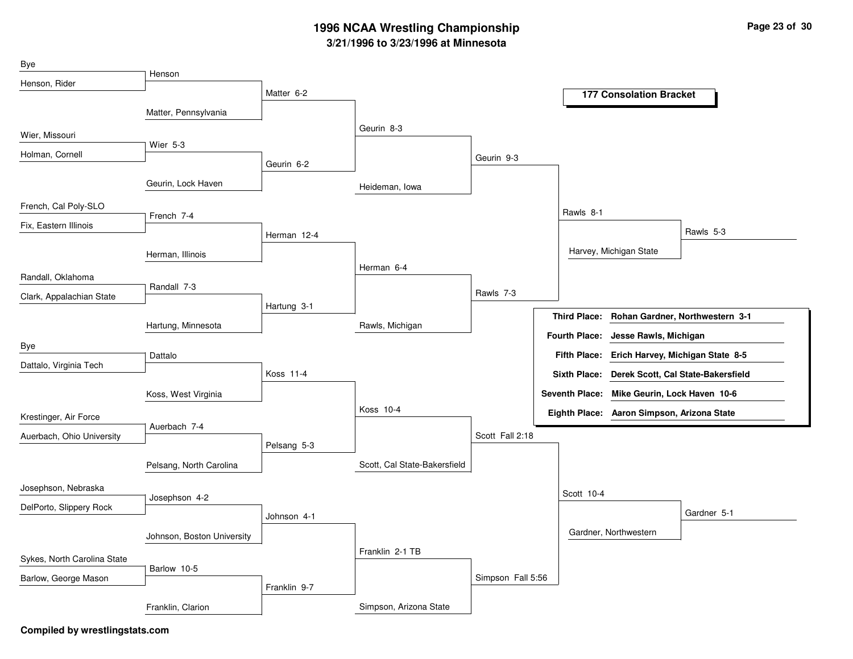| Bye                         |                            |              |                              |                   |                      |                                             |                                 |
|-----------------------------|----------------------------|--------------|------------------------------|-------------------|----------------------|---------------------------------------------|---------------------------------|
| Henson, Rider               | Henson                     |              |                              |                   |                      |                                             |                                 |
|                             |                            | Matter 6-2   |                              |                   |                      | <b>177 Consolation Bracket</b>              |                                 |
|                             | Matter, Pennsylvania       |              |                              |                   |                      |                                             |                                 |
| Wier, Missouri              |                            |              | Geurin 8-3                   |                   |                      |                                             |                                 |
| Holman, Cornell             | <b>Wier 5-3</b>            |              |                              | Geurin 9-3        |                      |                                             |                                 |
|                             |                            | Geurin 6-2   |                              |                   |                      |                                             |                                 |
|                             | Geurin, Lock Haven         |              | Heideman, Iowa               |                   |                      |                                             |                                 |
| French, Cal Poly-SLO        |                            |              |                              |                   | Rawls 8-1            |                                             |                                 |
| Fix, Eastern Illinois       | French 7-4                 |              |                              |                   |                      |                                             |                                 |
|                             |                            | Herman 12-4  |                              |                   |                      |                                             | Rawls 5-3                       |
|                             | Herman, Illinois           |              |                              |                   |                      | Harvey, Michigan State                      |                                 |
| Randall, Oklahoma           |                            |              | Herman 6-4                   |                   |                      |                                             |                                 |
| Clark, Appalachian State    | Randall 7-3                |              |                              | Rawls 7-3         |                      |                                             |                                 |
|                             |                            | Hartung 3-1  |                              |                   |                      |                                             |                                 |
|                             | Hartung, Minnesota         |              | Rawls, Michigan              |                   | <b>Third Place:</b>  |                                             | Rohan Gardner, Northwestern 3-1 |
| Bye                         |                            |              |                              |                   | <b>Fourth Place:</b> | Jesse Rawls, Michigan                       |                                 |
| Dattalo, Virginia Tech      | Dattalo                    |              |                              |                   | <b>Fifth Place:</b>  | Erich Harvey, Michigan State 8-5            |                                 |
|                             |                            | Koss 11-4    |                              |                   | <b>Sixth Place:</b>  | Derek Scott, Cal State-Bakersfield          |                                 |
|                             | Koss, West Virginia        |              |                              |                   |                      | Seventh Place: Mike Geurin, Lock Haven 10-6 |                                 |
| Krestinger, Air Force       |                            |              | Koss 10-4                    |                   |                      | Eighth Place: Aaron Simpson, Arizona State  |                                 |
| Auerbach, Ohio University   | Auerbach 7-4               |              |                              | Scott Fall 2:18   |                      |                                             |                                 |
|                             |                            | Pelsang 5-3  |                              |                   |                      |                                             |                                 |
|                             | Pelsang, North Carolina    |              | Scott, Cal State-Bakersfield |                   |                      |                                             |                                 |
| Josephson, Nebraska         |                            |              |                              |                   |                      |                                             |                                 |
| DelPorto, Slippery Rock     | Josephson 4-2              |              |                              |                   | Scott 10-4           |                                             |                                 |
|                             |                            | Johnson 4-1  |                              |                   |                      |                                             | Gardner 5-1                     |
|                             | Johnson, Boston University |              |                              |                   |                      | Gardner, Northwestern                       |                                 |
| Sykes, North Carolina State |                            |              | Franklin 2-1 TB              |                   |                      |                                             |                                 |
|                             | Barlow 10-5                |              |                              |                   |                      |                                             |                                 |
| Barlow, George Mason        |                            | Franklin 9-7 |                              | Simpson Fall 5:56 |                      |                                             |                                 |
|                             | Franklin, Clarion          |              | Simpson, Arizona State       |                   |                      |                                             |                                 |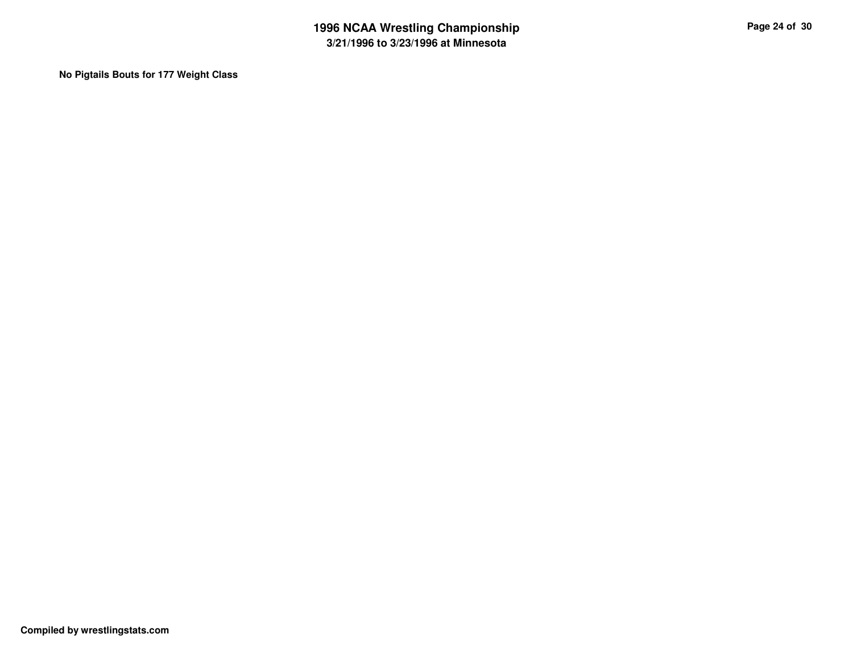**No Pigtails Bouts for 177 Weight Class**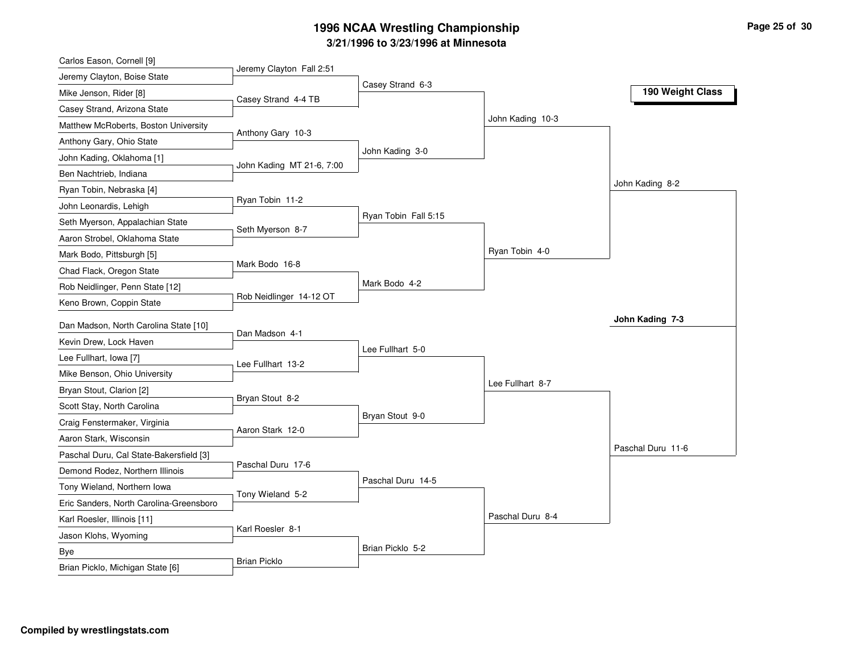| Carlos Eason, Cornell [9]               |                           |                      |                  |                   |
|-----------------------------------------|---------------------------|----------------------|------------------|-------------------|
| Jeremy Clayton, Boise State             | Jeremy Clayton Fall 2:51  |                      |                  |                   |
| Mike Jenson, Rider [8]                  | Casey Strand 4-4 TB       | Casey Strand 6-3     |                  | 190 Weight Class  |
| Casey Strand, Arizona State             |                           |                      |                  |                   |
| Matthew McRoberts, Boston University    |                           |                      | John Kading 10-3 |                   |
| Anthony Gary, Ohio State                | Anthony Gary 10-3         |                      |                  |                   |
| John Kading, Oklahoma [1]               |                           | John Kading 3-0      |                  |                   |
| Ben Nachtrieb, Indiana                  | John Kading MT 21-6, 7:00 |                      |                  |                   |
| Ryan Tobin, Nebraska [4]                |                           |                      |                  | John Kading 8-2   |
| John Leonardis, Lehigh                  | Ryan Tobin 11-2           |                      |                  |                   |
| Seth Myerson, Appalachian State         |                           | Ryan Tobin Fall 5:15 |                  |                   |
| Aaron Strobel, Oklahoma State           | Seth Myerson 8-7          |                      |                  |                   |
| Mark Bodo, Pittsburgh [5]               |                           |                      | Ryan Tobin 4-0   |                   |
| Chad Flack, Oregon State                | Mark Bodo 16-8            |                      |                  |                   |
| Rob Neidlinger, Penn State [12]         |                           | Mark Bodo 4-2        |                  |                   |
| Keno Brown, Coppin State                | Rob Neidlinger 14-12 OT   |                      |                  |                   |
| Dan Madson, North Carolina State [10]   |                           |                      |                  | John Kading 7-3   |
| Kevin Drew, Lock Haven                  | Dan Madson 4-1            |                      |                  |                   |
| Lee Fullhart, Iowa [7]                  |                           | Lee Fullhart 5-0     |                  |                   |
| Mike Benson, Ohio University            | Lee Fullhart 13-2         |                      |                  |                   |
|                                         |                           |                      | Lee Fullhart 8-7 |                   |
| Bryan Stout, Clarion [2]                | Bryan Stout 8-2           |                      |                  |                   |
| Scott Stay, North Carolina              |                           | Bryan Stout 9-0      |                  |                   |
| Craig Fenstermaker, Virginia            | Aaron Stark 12-0          |                      |                  |                   |
| Aaron Stark, Wisconsin                  |                           |                      |                  | Paschal Duru 11-6 |
| Paschal Duru, Cal State-Bakersfield [3] | Paschal Duru 17-6         |                      |                  |                   |
| Demond Rodez, Northern Illinois         |                           | Paschal Duru 14-5    |                  |                   |
| Tony Wieland, Northern Iowa             | Tony Wieland 5-2          |                      |                  |                   |
| Eric Sanders, North Carolina-Greensboro |                           |                      | Paschal Duru 8-4 |                   |
| Karl Roesler, Illinois [11]             | Karl Roesler 8-1          |                      |                  |                   |
| Jason Klohs, Wyoming                    |                           |                      |                  |                   |
| Bye                                     | <b>Brian Picklo</b>       | Brian Picklo 5-2     |                  |                   |
| Brian Picklo, Michigan State [6]        |                           |                      |                  |                   |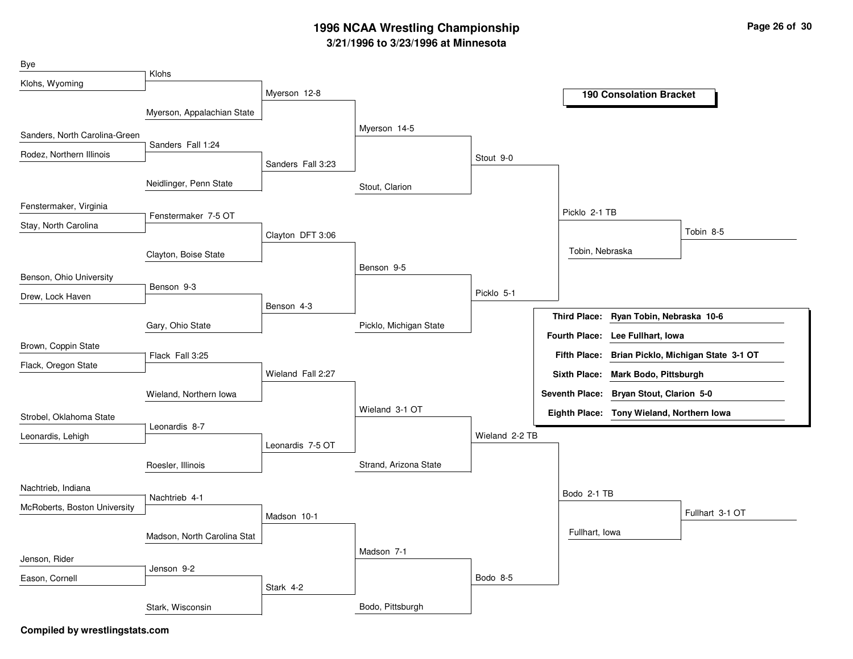| Bye                           |                             |                   |                        |                |                 |                                           |                                                  |
|-------------------------------|-----------------------------|-------------------|------------------------|----------------|-----------------|-------------------------------------------|--------------------------------------------------|
| Klohs, Wyoming                | Klohs                       |                   |                        |                |                 |                                           |                                                  |
|                               |                             | Myerson 12-8      |                        |                |                 | <b>190 Consolation Bracket</b>            |                                                  |
|                               | Myerson, Appalachian State  |                   |                        |                |                 |                                           |                                                  |
| Sanders, North Carolina-Green | Sanders Fall 1:24           |                   | Myerson 14-5           |                |                 |                                           |                                                  |
| Rodez, Northern Illinois      |                             |                   |                        | Stout 9-0      |                 |                                           |                                                  |
|                               |                             | Sanders Fall 3:23 |                        |                |                 |                                           |                                                  |
|                               | Neidlinger, Penn State      |                   | Stout, Clarion         |                |                 |                                           |                                                  |
| Fenstermaker, Virginia        | Fenstermaker 7-5 OT         |                   |                        |                | Picklo 2-1 TB   |                                           |                                                  |
| Stay, North Carolina          |                             |                   |                        |                |                 |                                           | Tobin 8-5                                        |
|                               |                             | Clayton DFT 3:06  |                        |                | Tobin, Nebraska |                                           |                                                  |
|                               | Clayton, Boise State        |                   | Benson 9-5             |                |                 |                                           |                                                  |
| Benson, Ohio University       | Benson 9-3                  |                   |                        |                |                 |                                           |                                                  |
| Drew, Lock Haven              |                             |                   |                        | Picklo 5-1     |                 |                                           |                                                  |
|                               |                             | Benson 4-3        |                        |                |                 | Third Place: Ryan Tobin, Nebraska 10-6    |                                                  |
|                               | Gary, Ohio State            |                   | Picklo, Michigan State |                |                 | Fourth Place: Lee Fullhart, Iowa          |                                                  |
| Brown, Coppin State           | Flack Fall 3:25             |                   |                        |                |                 |                                           | Fifth Place: Brian Picklo, Michigan State 3-1 OT |
| Flack, Oregon State           |                             | Wieland Fall 2:27 |                        |                |                 | Sixth Place: Mark Bodo, Pittsburgh        |                                                  |
|                               |                             |                   |                        |                |                 | Seventh Place: Bryan Stout, Clarion 5-0   |                                                  |
|                               | Wieland, Northern Iowa      |                   | Wieland 3-1 OT         |                |                 |                                           |                                                  |
| Strobel, Oklahoma State       | Leonardis 8-7               |                   |                        |                |                 | Eighth Place: Tony Wieland, Northern Iowa |                                                  |
| Leonardis, Lehigh             |                             | Leonardis 7-5 OT  |                        | Wieland 2-2 TB |                 |                                           |                                                  |
|                               |                             |                   |                        |                |                 |                                           |                                                  |
|                               | Roesler, Illinois           |                   | Strand, Arizona State  |                |                 |                                           |                                                  |
| Nachtrieb, Indiana            | Nachtrieb 4-1               |                   |                        |                | Bodo 2-1 TB     |                                           |                                                  |
| McRoberts, Boston University  |                             | Madson 10-1       |                        |                |                 |                                           | Fullhart 3-1 OT                                  |
|                               |                             |                   |                        |                | Fullhart, Iowa  |                                           |                                                  |
|                               | Madson, North Carolina Stat |                   | Madson 7-1             |                |                 |                                           |                                                  |
| Jenson, Rider                 | Jenson 9-2                  |                   |                        |                |                 |                                           |                                                  |
| Eason, Cornell                |                             |                   |                        | Bodo 8-5       |                 |                                           |                                                  |
|                               |                             | Stark 4-2         |                        |                |                 |                                           |                                                  |
|                               | Stark, Wisconsin            |                   | Bodo, Pittsburgh       |                |                 |                                           |                                                  |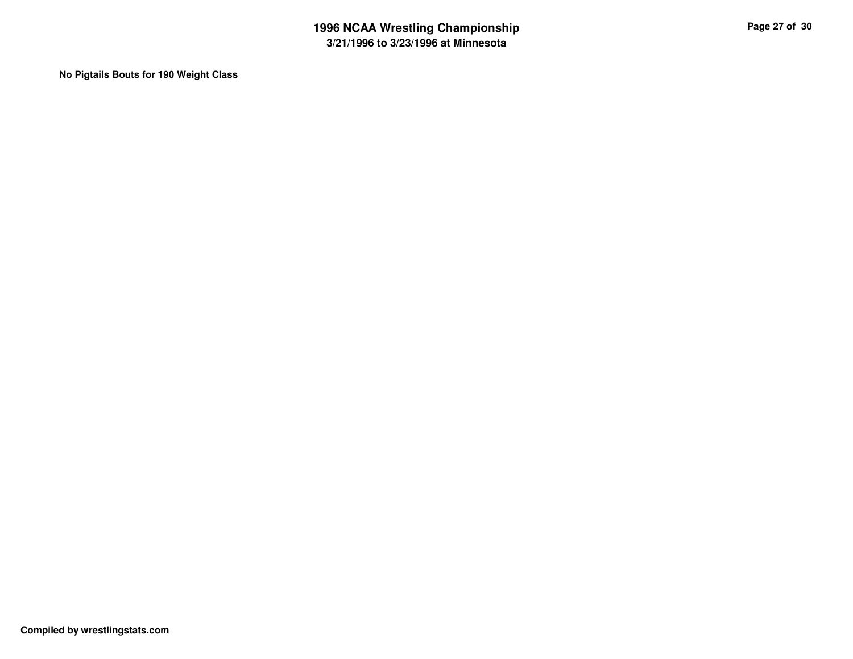**No Pigtails Bouts for 190 Weight Class**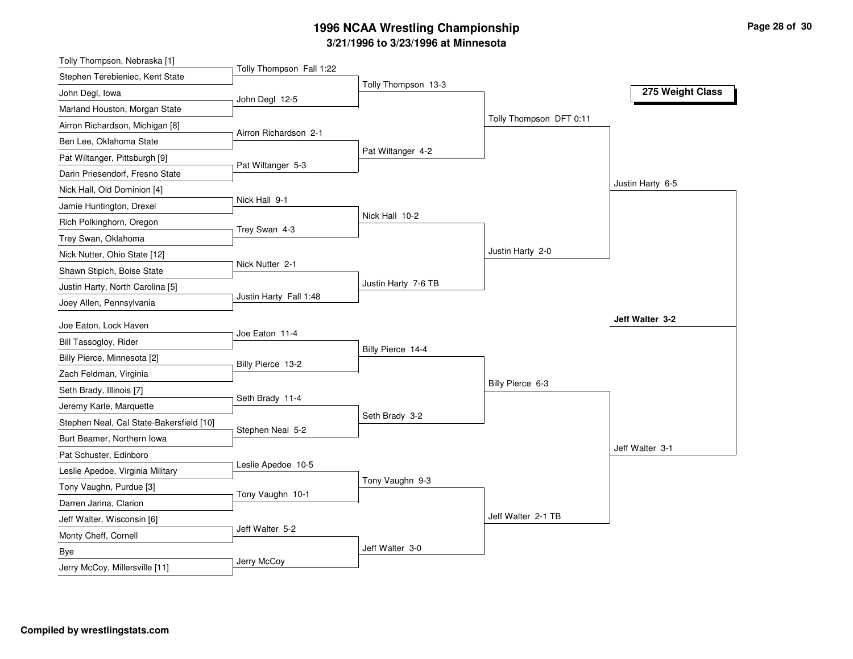| Tolly Thompson Fall 1:22<br>Stephen Terebieniec, Kent State<br>Tolly Thompson 13-3<br>275 Weight Class<br>John Degl, Iowa<br>John Degl 12-5<br>Marland Houston, Morgan State<br>Tolly Thompson DFT 0:11<br>Airron Richardson, Michigan [8]<br>Airron Richardson 2-1<br>Ben Lee, Oklahoma State<br>Pat Wiltanger 4-2<br>Pat Wiltanger, Pittsburgh [9]<br>Pat Wiltanger 5-3<br>Darin Priesendorf, Fresno State<br>Justin Harty 6-5<br>Nick Hall, Old Dominion [4]<br>Nick Hall 9-1<br>Jamie Huntington, Drexel<br>Nick Hall 10-2<br>Rich Polkinghorn, Oregon<br>Trey Swan 4-3<br>Trey Swan, Oklahoma<br>Justin Harty 2-0<br>Nick Nutter, Ohio State [12]<br>Nick Nutter 2-1<br>Shawn Stipich, Boise State<br>Justin Harty 7-6 TB<br>Justin Harty, North Carolina [5]<br>Justin Harty Fall 1:48<br>Joey Allen, Pennsylvania<br>Jeff Walter 3-2<br>Joe Eaton, Lock Haven<br>Joe Eaton 11-4<br>Bill Tassogloy, Rider<br>Billy Pierce 14-4<br>Billy Pierce, Minnesota [2]<br>Billy Pierce 13-2<br>Zach Feldman, Virginia<br>Billy Pierce 6-3<br>Seth Brady, Illinois [7]<br>Seth Brady 11-4<br>Jeremy Karle, Marquette<br>Seth Brady 3-2<br>Stephen Neal, Cal State-Bakersfield [10]<br>Stephen Neal 5-2<br>Burt Beamer, Northern Iowa<br>Jeff Walter 3-1<br>Pat Schuster, Edinboro<br>Leslie Apedoe 10-5<br>Leslie Apedoe, Virginia Military<br>Tony Vaughn 9-3<br>Tony Vaughn, Purdue [3]<br>Tony Vaughn 10-1<br>Darren Jarina, Clarion<br>Jeff Walter 2-1 TB<br>Jeff Walter, Wisconsin [6]<br>Jeff Walter 5-2<br>Monty Cheff, Cornell<br>Jeff Walter 3-0<br>Bye | Tolly Thompson, Nebraska [1] |             |  |  |
|--------------------------------------------------------------------------------------------------------------------------------------------------------------------------------------------------------------------------------------------------------------------------------------------------------------------------------------------------------------------------------------------------------------------------------------------------------------------------------------------------------------------------------------------------------------------------------------------------------------------------------------------------------------------------------------------------------------------------------------------------------------------------------------------------------------------------------------------------------------------------------------------------------------------------------------------------------------------------------------------------------------------------------------------------------------------------------------------------------------------------------------------------------------------------------------------------------------------------------------------------------------------------------------------------------------------------------------------------------------------------------------------------------------------------------------------------------------------------------------------------------------------------------------------------------------|------------------------------|-------------|--|--|
|                                                                                                                                                                                                                                                                                                                                                                                                                                                                                                                                                                                                                                                                                                                                                                                                                                                                                                                                                                                                                                                                                                                                                                                                                                                                                                                                                                                                                                                                                                                                                              |                              |             |  |  |
|                                                                                                                                                                                                                                                                                                                                                                                                                                                                                                                                                                                                                                                                                                                                                                                                                                                                                                                                                                                                                                                                                                                                                                                                                                                                                                                                                                                                                                                                                                                                                              |                              |             |  |  |
|                                                                                                                                                                                                                                                                                                                                                                                                                                                                                                                                                                                                                                                                                                                                                                                                                                                                                                                                                                                                                                                                                                                                                                                                                                                                                                                                                                                                                                                                                                                                                              |                              |             |  |  |
|                                                                                                                                                                                                                                                                                                                                                                                                                                                                                                                                                                                                                                                                                                                                                                                                                                                                                                                                                                                                                                                                                                                                                                                                                                                                                                                                                                                                                                                                                                                                                              |                              |             |  |  |
|                                                                                                                                                                                                                                                                                                                                                                                                                                                                                                                                                                                                                                                                                                                                                                                                                                                                                                                                                                                                                                                                                                                                                                                                                                                                                                                                                                                                                                                                                                                                                              |                              |             |  |  |
|                                                                                                                                                                                                                                                                                                                                                                                                                                                                                                                                                                                                                                                                                                                                                                                                                                                                                                                                                                                                                                                                                                                                                                                                                                                                                                                                                                                                                                                                                                                                                              |                              |             |  |  |
|                                                                                                                                                                                                                                                                                                                                                                                                                                                                                                                                                                                                                                                                                                                                                                                                                                                                                                                                                                                                                                                                                                                                                                                                                                                                                                                                                                                                                                                                                                                                                              |                              |             |  |  |
|                                                                                                                                                                                                                                                                                                                                                                                                                                                                                                                                                                                                                                                                                                                                                                                                                                                                                                                                                                                                                                                                                                                                                                                                                                                                                                                                                                                                                                                                                                                                                              |                              |             |  |  |
|                                                                                                                                                                                                                                                                                                                                                                                                                                                                                                                                                                                                                                                                                                                                                                                                                                                                                                                                                                                                                                                                                                                                                                                                                                                                                                                                                                                                                                                                                                                                                              |                              |             |  |  |
|                                                                                                                                                                                                                                                                                                                                                                                                                                                                                                                                                                                                                                                                                                                                                                                                                                                                                                                                                                                                                                                                                                                                                                                                                                                                                                                                                                                                                                                                                                                                                              |                              |             |  |  |
|                                                                                                                                                                                                                                                                                                                                                                                                                                                                                                                                                                                                                                                                                                                                                                                                                                                                                                                                                                                                                                                                                                                                                                                                                                                                                                                                                                                                                                                                                                                                                              |                              |             |  |  |
|                                                                                                                                                                                                                                                                                                                                                                                                                                                                                                                                                                                                                                                                                                                                                                                                                                                                                                                                                                                                                                                                                                                                                                                                                                                                                                                                                                                                                                                                                                                                                              |                              |             |  |  |
|                                                                                                                                                                                                                                                                                                                                                                                                                                                                                                                                                                                                                                                                                                                                                                                                                                                                                                                                                                                                                                                                                                                                                                                                                                                                                                                                                                                                                                                                                                                                                              |                              |             |  |  |
|                                                                                                                                                                                                                                                                                                                                                                                                                                                                                                                                                                                                                                                                                                                                                                                                                                                                                                                                                                                                                                                                                                                                                                                                                                                                                                                                                                                                                                                                                                                                                              |                              |             |  |  |
|                                                                                                                                                                                                                                                                                                                                                                                                                                                                                                                                                                                                                                                                                                                                                                                                                                                                                                                                                                                                                                                                                                                                                                                                                                                                                                                                                                                                                                                                                                                                                              |                              |             |  |  |
|                                                                                                                                                                                                                                                                                                                                                                                                                                                                                                                                                                                                                                                                                                                                                                                                                                                                                                                                                                                                                                                                                                                                                                                                                                                                                                                                                                                                                                                                                                                                                              |                              |             |  |  |
|                                                                                                                                                                                                                                                                                                                                                                                                                                                                                                                                                                                                                                                                                                                                                                                                                                                                                                                                                                                                                                                                                                                                                                                                                                                                                                                                                                                                                                                                                                                                                              |                              |             |  |  |
|                                                                                                                                                                                                                                                                                                                                                                                                                                                                                                                                                                                                                                                                                                                                                                                                                                                                                                                                                                                                                                                                                                                                                                                                                                                                                                                                                                                                                                                                                                                                                              |                              |             |  |  |
|                                                                                                                                                                                                                                                                                                                                                                                                                                                                                                                                                                                                                                                                                                                                                                                                                                                                                                                                                                                                                                                                                                                                                                                                                                                                                                                                                                                                                                                                                                                                                              |                              |             |  |  |
|                                                                                                                                                                                                                                                                                                                                                                                                                                                                                                                                                                                                                                                                                                                                                                                                                                                                                                                                                                                                                                                                                                                                                                                                                                                                                                                                                                                                                                                                                                                                                              |                              |             |  |  |
|                                                                                                                                                                                                                                                                                                                                                                                                                                                                                                                                                                                                                                                                                                                                                                                                                                                                                                                                                                                                                                                                                                                                                                                                                                                                                                                                                                                                                                                                                                                                                              |                              |             |  |  |
|                                                                                                                                                                                                                                                                                                                                                                                                                                                                                                                                                                                                                                                                                                                                                                                                                                                                                                                                                                                                                                                                                                                                                                                                                                                                                                                                                                                                                                                                                                                                                              |                              |             |  |  |
|                                                                                                                                                                                                                                                                                                                                                                                                                                                                                                                                                                                                                                                                                                                                                                                                                                                                                                                                                                                                                                                                                                                                                                                                                                                                                                                                                                                                                                                                                                                                                              |                              |             |  |  |
|                                                                                                                                                                                                                                                                                                                                                                                                                                                                                                                                                                                                                                                                                                                                                                                                                                                                                                                                                                                                                                                                                                                                                                                                                                                                                                                                                                                                                                                                                                                                                              |                              |             |  |  |
|                                                                                                                                                                                                                                                                                                                                                                                                                                                                                                                                                                                                                                                                                                                                                                                                                                                                                                                                                                                                                                                                                                                                                                                                                                                                                                                                                                                                                                                                                                                                                              |                              |             |  |  |
|                                                                                                                                                                                                                                                                                                                                                                                                                                                                                                                                                                                                                                                                                                                                                                                                                                                                                                                                                                                                                                                                                                                                                                                                                                                                                                                                                                                                                                                                                                                                                              |                              |             |  |  |
|                                                                                                                                                                                                                                                                                                                                                                                                                                                                                                                                                                                                                                                                                                                                                                                                                                                                                                                                                                                                                                                                                                                                                                                                                                                                                                                                                                                                                                                                                                                                                              |                              |             |  |  |
|                                                                                                                                                                                                                                                                                                                                                                                                                                                                                                                                                                                                                                                                                                                                                                                                                                                                                                                                                                                                                                                                                                                                                                                                                                                                                                                                                                                                                                                                                                                                                              |                              |             |  |  |
|                                                                                                                                                                                                                                                                                                                                                                                                                                                                                                                                                                                                                                                                                                                                                                                                                                                                                                                                                                                                                                                                                                                                                                                                                                                                                                                                                                                                                                                                                                                                                              |                              |             |  |  |
|                                                                                                                                                                                                                                                                                                                                                                                                                                                                                                                                                                                                                                                                                                                                                                                                                                                                                                                                                                                                                                                                                                                                                                                                                                                                                                                                                                                                                                                                                                                                                              |                              |             |  |  |
| Jerry McCoy, Millersville [11]                                                                                                                                                                                                                                                                                                                                                                                                                                                                                                                                                                                                                                                                                                                                                                                                                                                                                                                                                                                                                                                                                                                                                                                                                                                                                                                                                                                                                                                                                                                               |                              | Jerry McCoy |  |  |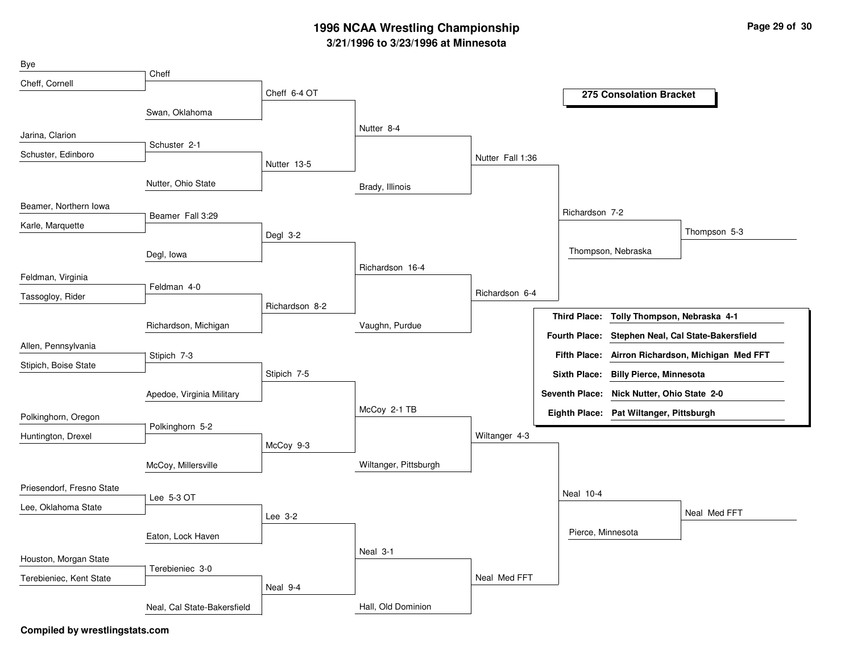| Bye                       |                             |                |                       |                  |                                            |                                |                                     |
|---------------------------|-----------------------------|----------------|-----------------------|------------------|--------------------------------------------|--------------------------------|-------------------------------------|
| Cheff, Cornell            | Cheff                       |                |                       |                  |                                            |                                |                                     |
|                           |                             | Cheff 6-4 OT   |                       |                  |                                            | 275 Consolation Bracket        |                                     |
|                           | Swan, Oklahoma              |                |                       |                  |                                            |                                |                                     |
| Jarina, Clarion           |                             |                | Nutter 8-4            |                  |                                            |                                |                                     |
| Schuster, Edinboro        | Schuster 2-1                |                |                       | Nutter Fall 1:36 |                                            |                                |                                     |
|                           |                             | Nutter 13-5    |                       |                  |                                            |                                |                                     |
|                           | Nutter, Ohio State          |                | Brady, Illinois       |                  |                                            |                                |                                     |
| Beamer, Northern Iowa     |                             |                |                       |                  | Richardson 7-2                             |                                |                                     |
| Karle, Marquette          | Beamer Fall 3:29            |                |                       |                  |                                            |                                |                                     |
|                           |                             | Degl 3-2       |                       |                  |                                            |                                | Thompson 5-3                        |
|                           | Degl, Iowa                  |                |                       |                  | Thompson, Nebraska                         |                                |                                     |
| Feldman, Virginia         |                             |                | Richardson 16-4       |                  |                                            |                                |                                     |
| Tassogloy, Rider          | Feldman 4-0                 |                |                       | Richardson 6-4   |                                            |                                |                                     |
|                           |                             | Richardson 8-2 |                       |                  | <b>Third Place:</b>                        | Tolly Thompson, Nebraska 4-1   |                                     |
|                           | Richardson, Michigan        |                | Vaughn, Purdue        |                  |                                            |                                |                                     |
| Allen, Pennsylvania       |                             |                |                       |                  | <b>Fourth Place:</b>                       |                                | Stephen Neal, Cal State-Bakersfield |
| Stipich, Boise State      | Stipich 7-3                 |                |                       |                  | <b>Fifth Place:</b>                        |                                | Airron Richardson, Michigan Med FFT |
|                           |                             | Stipich 7-5    |                       |                  | <b>Sixth Place:</b>                        | <b>Billy Pierce, Minnesota</b> |                                     |
|                           | Apedoe, Virginia Military   |                |                       |                  | Seventh Place: Nick Nutter, Ohio State 2-0 |                                |                                     |
| Polkinghorn, Oregon       |                             |                | McCoy 2-1 TB          |                  | Eighth Place: Pat Wiltanger, Pittsburgh    |                                |                                     |
| Huntington, Drexel        | Polkinghorn 5-2             |                |                       | Wiltanger 4-3    |                                            |                                |                                     |
|                           |                             | McCoy 9-3      |                       |                  |                                            |                                |                                     |
|                           | McCoy, Millersville         |                | Wiltanger, Pittsburgh |                  |                                            |                                |                                     |
| Priesendorf, Fresno State |                             |                |                       |                  |                                            |                                |                                     |
| Lee, Oklahoma State       | Lee 5-3 OT                  |                |                       |                  | <b>Neal 10-4</b>                           |                                |                                     |
|                           |                             | Lee 3-2        |                       |                  |                                            |                                | Neal Med FFT                        |
|                           | Eaton, Lock Haven           |                |                       |                  | Pierce, Minnesota                          |                                |                                     |
| Houston, Morgan State     |                             |                | Neal 3-1              |                  |                                            |                                |                                     |
|                           | Terebieniec 3-0             |                |                       |                  |                                            |                                |                                     |
| Terebieniec, Kent State   |                             | Neal 9-4       |                       | Neal Med FFT     |                                            |                                |                                     |
|                           | Neal, Cal State-Bakersfield |                | Hall, Old Dominion    |                  |                                            |                                |                                     |